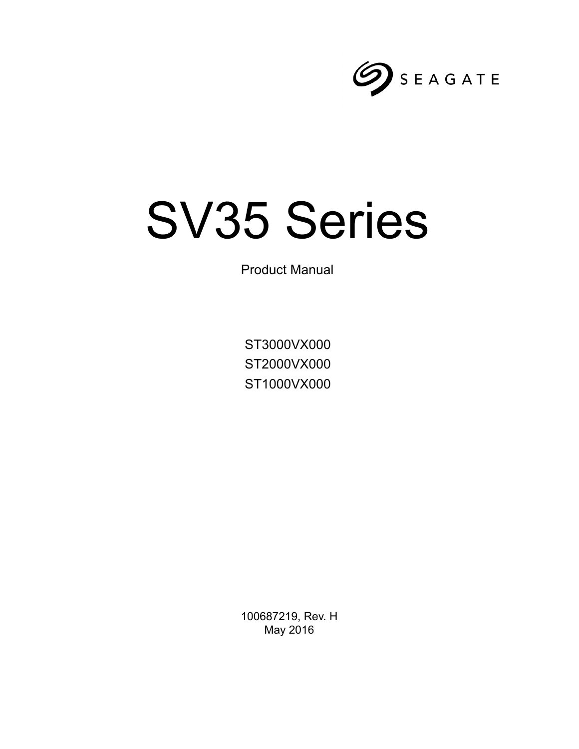

# SV35 Series

Product Manual

ST3000VX000 ST2000VX000 ST1000VX000

100687219, Rev. H May 2016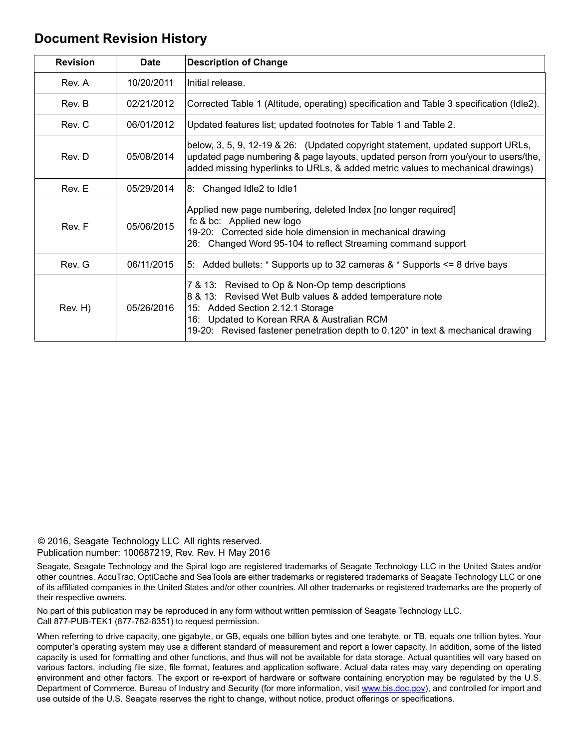# **Document Revision History**

| <b>Revision</b> | <b>Date</b> | <b>Description of Change</b>                                                                                                                                                                                                                                                       |  |
|-----------------|-------------|------------------------------------------------------------------------------------------------------------------------------------------------------------------------------------------------------------------------------------------------------------------------------------|--|
| Rev. A          | 10/20/2011  | Initial release.                                                                                                                                                                                                                                                                   |  |
| Rev. B          | 02/21/2012  | Corrected Table 1 (Altitude, operating) specification and Table 3 specification (Idle2).                                                                                                                                                                                           |  |
| Rev. C          | 06/01/2012  | Updated features list; updated footnotes for Table 1 and Table 2.                                                                                                                                                                                                                  |  |
| Rev. D          | 05/08/2014  | below, 3, 5, 9, 12-19 & 26: (Updated copyright statement, updated support URLs,<br>updated page numbering & page layouts, updated person from you/your to users/the,<br>added missing hyperlinks to URLs, & added metric values to mechanical drawings)                            |  |
| Rev. E          | 05/29/2014  | 8: Changed Idle2 to Idle1                                                                                                                                                                                                                                                          |  |
| Rev. F          | 05/06/2015  | Applied new page numbering, deleted Index [no longer required]<br>fc & bc: Applied new logo<br>19-20: Corrected side hole dimension in mechanical drawing<br>26: Changed Word 95-104 to reflect Streaming command support                                                          |  |
| Rev. G          | 06/11/2015  | 5: Added bullets: $*$ Supports up to 32 cameras & $*$ Supports $\leq$ 8 drive bays                                                                                                                                                                                                 |  |
| Rev. H)         | 05/26/2016  | 7 & 13: Revised to Op & Non-Op temp descriptions<br>8 & 13: Revised Wet Bulb values & added temperature note<br>15: Added Section 2.12.1 Storage<br>16: Updated to Korean RRA & Australian RCM<br>19-20: Revised fastener penetration depth to 0.120" in text & mechanical drawing |  |

© 2016, Seagate Technology LLC All rights reserved. Publication number: 100687219, Rev. Rev. H May 2016

Seagate, Seagate Technology and the Spiral logo are registered trademarks of Seagate Technology LLC in the United States and/or other countries. AccuTrac, OptiCache and SeaTools are either trademarks or registered trademarks of Seagate Technology LLC or one of its affiliated companies in the United States and/or other countries. All other trademarks or registered trademarks are the property of their respective owners.

No part of this publication may be reproduced in any form without written permission of Seagate Technology LLC. Call 877-PUB-TEK1 (877-782-8351) to request permission.

When referring to drive capacity, one gigabyte, or GB, equals one billion bytes and one terabyte, or TB, equals one trillion bytes. Your computer's operating system may use a different standard of measurement and report a lower capacity. In addition, some of the listed capacity is used for formatting and other functions, and thus will not be available for data storage. Actual quantities will vary based on various factors, including file size, file format, features and application software. Actual data rates may vary depending on operating environment and other factors. The export or re-export of hardware or software containing encryption may be regulated by the U.S. Department of Commerce, Bureau of Industry and Security (for more information, visit [www.bis.doc.](http://www.bis.doc.gov)gov), and controlled for import and use outside of the U.S. Seagate reserves the right to change, without notice, product offerings or specifications.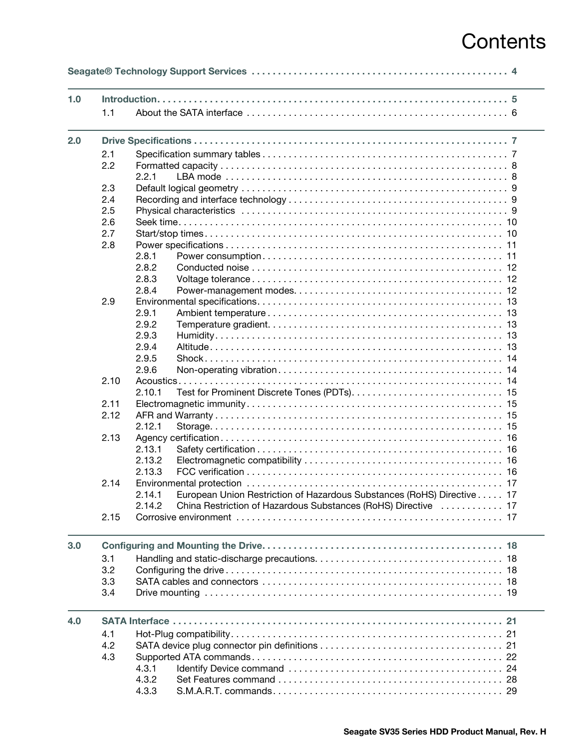# **Contents**

| 1.0 |      |                                                                                  |  |  |  |  |
|-----|------|----------------------------------------------------------------------------------|--|--|--|--|
|     | 1.1  |                                                                                  |  |  |  |  |
| 2.0 |      |                                                                                  |  |  |  |  |
|     | 2.1  |                                                                                  |  |  |  |  |
|     | 2.2  |                                                                                  |  |  |  |  |
|     |      | 2.2.1                                                                            |  |  |  |  |
|     | 2.3  |                                                                                  |  |  |  |  |
|     | 2.4  |                                                                                  |  |  |  |  |
|     | 2.5  |                                                                                  |  |  |  |  |
|     | 2.6  |                                                                                  |  |  |  |  |
|     | 2.7  |                                                                                  |  |  |  |  |
|     | 2.8  |                                                                                  |  |  |  |  |
|     |      | 2.8.1                                                                            |  |  |  |  |
|     |      | 2.8.2                                                                            |  |  |  |  |
|     |      | 2.8.3                                                                            |  |  |  |  |
|     |      | 2.8.4                                                                            |  |  |  |  |
|     | 2.9  |                                                                                  |  |  |  |  |
|     |      | 2.9.1                                                                            |  |  |  |  |
|     |      | 2.9.2                                                                            |  |  |  |  |
|     |      | 2.9.3                                                                            |  |  |  |  |
|     |      | 2.9.4                                                                            |  |  |  |  |
|     |      | 2.9.5                                                                            |  |  |  |  |
|     |      | 2.9.6                                                                            |  |  |  |  |
|     | 2.10 |                                                                                  |  |  |  |  |
|     |      | 2.10.1                                                                           |  |  |  |  |
|     | 2.11 |                                                                                  |  |  |  |  |
|     | 2.12 |                                                                                  |  |  |  |  |
|     |      | 2.12.1                                                                           |  |  |  |  |
|     | 2.13 |                                                                                  |  |  |  |  |
|     |      | 2.13.1                                                                           |  |  |  |  |
|     |      | 2.13.2                                                                           |  |  |  |  |
|     |      | 2.13.3                                                                           |  |  |  |  |
|     | 2.14 |                                                                                  |  |  |  |  |
|     |      | 2.14.1<br>European Union Restriction of Hazardous Substances (RoHS) Directive 17 |  |  |  |  |
|     |      | China Restriction of Hazardous Substances (RoHS) Directive  17<br>2.14.2         |  |  |  |  |
|     | 2.15 |                                                                                  |  |  |  |  |
| 3.0 |      |                                                                                  |  |  |  |  |
|     | 3.1  |                                                                                  |  |  |  |  |
|     | 3.2  |                                                                                  |  |  |  |  |
|     | 3.3  |                                                                                  |  |  |  |  |
|     | 3.4  |                                                                                  |  |  |  |  |
| 4.0 |      |                                                                                  |  |  |  |  |
|     | 4.1  |                                                                                  |  |  |  |  |
|     | 4.2  |                                                                                  |  |  |  |  |
|     | 4.3  |                                                                                  |  |  |  |  |
|     |      | 4.3.1                                                                            |  |  |  |  |
|     |      | 4.3.2                                                                            |  |  |  |  |
|     |      | 4.3.3                                                                            |  |  |  |  |
|     |      |                                                                                  |  |  |  |  |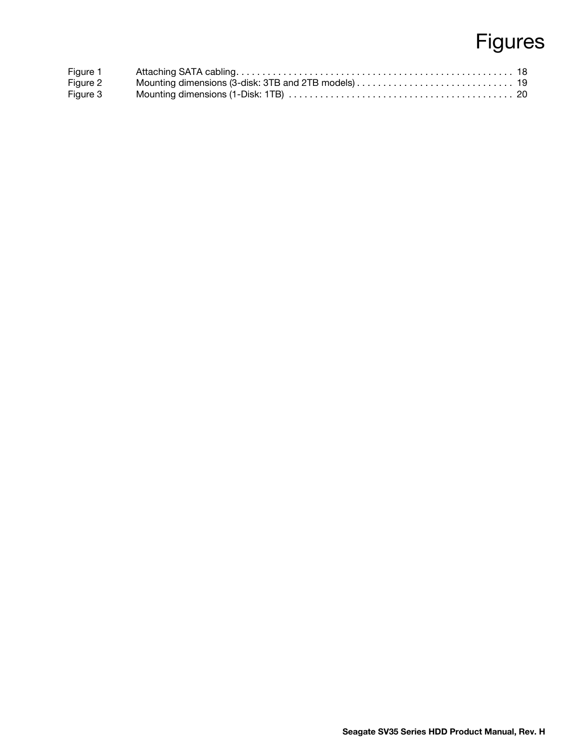# Figures

| Figure 1 |  |
|----------|--|
| Figure 2 |  |
| Figure 3 |  |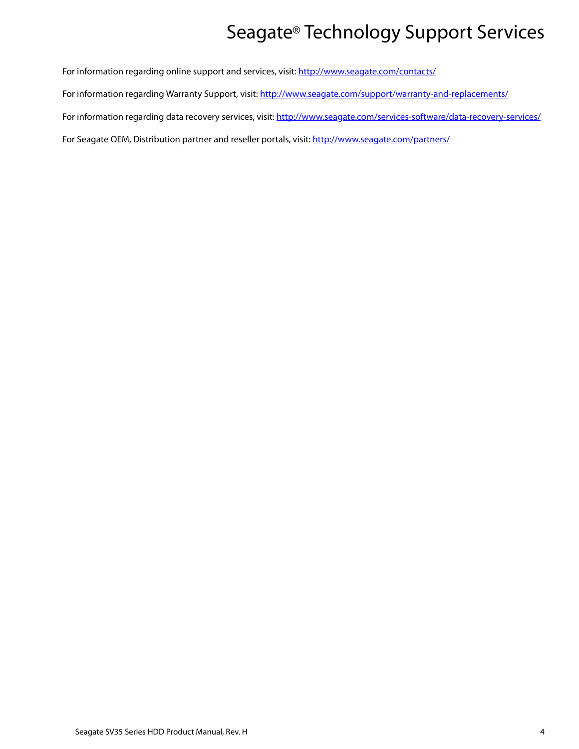# Seagate® Technology Support Services

<span id="page-4-0"></span>For information regarding online support and services, visit: [http://www.sea](http://www.seagate.com/contacts/)gate.com/contacts/ [For information regarding Warranty Support, visit:](http://www.seagate.com/support/warranty-and-replacements/) http://www.seagate.com/support/warranty-and-replacements/ For information regarding data recovery services, visit: [http://www.sea](http://www.seagate.com/services-software/data-recovery-services/)gate.com/services-software/data-recovery-services/ [For Seagate OEM, Distribution partner and reseller portals, visit: h](http://www.seagate.com/partners/)ttp://www.seagate.com/partners/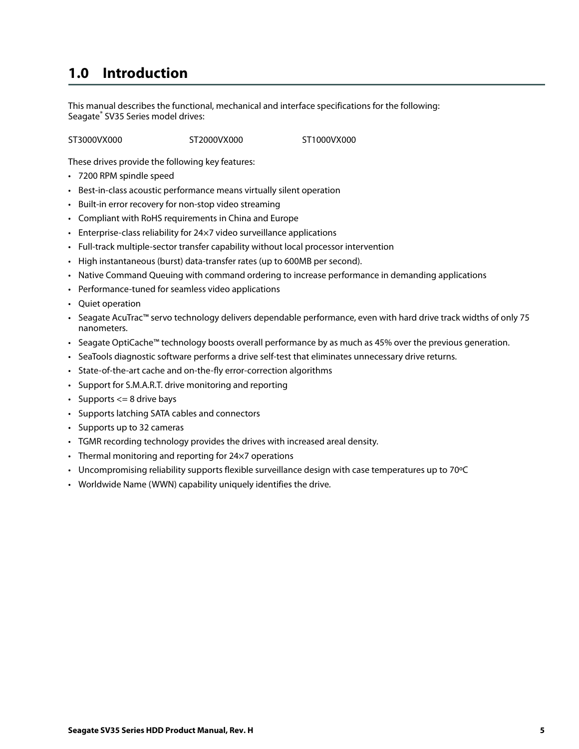# <span id="page-5-0"></span>**1.0 Introduction**

This manual describes the functional, mechanical and interface specifications for the following: Seagate® SV35 Series model drives:

ST3000VX000 ST2000VX000 ST1000VX000

These drives provide the following key features:

- 7200 RPM spindle speed
- Best-in-class acoustic performance means virtually silent operation
- Built-in error recovery for non-stop video streaming
- Compliant with RoHS requirements in China and Europe
- Enterprise-class reliability for 24×7 video surveillance applications
- Full-track multiple-sector transfer capability without local processor intervention
- High instantaneous (burst) data-transfer rates (up to 600MB per second).
- Native Command Queuing with command ordering to increase performance in demanding applications
- Performance-tuned for seamless video applications
- Quiet operation
- Seagate AcuTrac™ servo technology delivers dependable performance, even with hard drive track widths of only 75 nanometers.
- Seagate OptiCache™ technology boosts overall performance by as much as 45% over the previous generation.
- SeaTools diagnostic software performs a drive self-test that eliminates unnecessary drive returns.
- State-of-the-art cache and on-the-fly error-correction algorithms
- Support for S.M.A.R.T. drive monitoring and reporting
- Supports  $\leq$  8 drive bays
- Supports latching SATA cables and connectors
- Supports up to 32 cameras
- TGMR recording technology provides the drives with increased areal density.
- Thermal monitoring and reporting for 24×7 operations
- Uncompromising reliability supports flexible surveillance design with case temperatures up to 70ºC
- Worldwide Name (WWN) capability uniquely identifies the drive.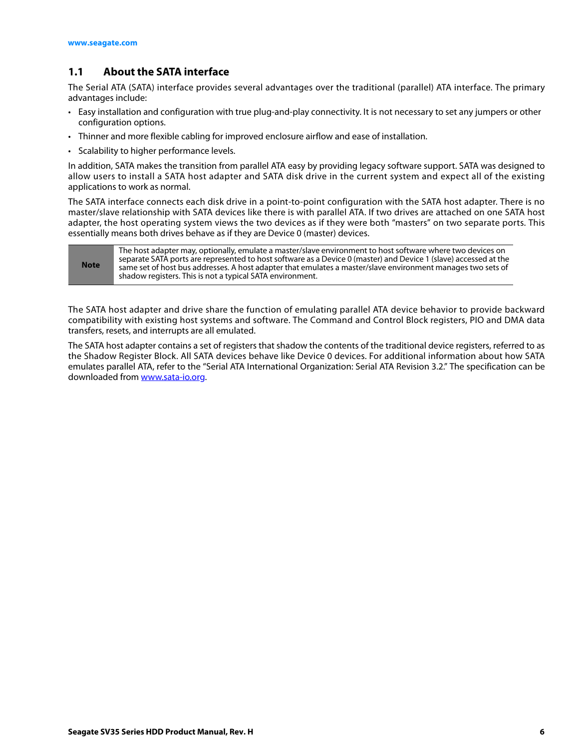# <span id="page-6-0"></span>**1.1 About the SATA interface**

The Serial ATA (SATA) interface provides several advantages over the traditional (parallel) ATA interface. The primary advantages include:

- Easy installation and configuration with true plug-and-play connectivity. It is not necessary to set any jumpers or other configuration options.
- Thinner and more flexible cabling for improved enclosure airflow and ease of installation.
- Scalability to higher performance levels.

In addition, SATA makes the transition from parallel ATA easy by providing legacy software support. SATA was designed to allow users to install a SATA host adapter and SATA disk drive in the current system and expect all of the existing applications to work as normal.

The SATA interface connects each disk drive in a point-to-point configuration with the SATA host adapter. There is no master/slave relationship with SATA devices like there is with parallel ATA. If two drives are attached on one SATA host adapter, the host operating system views the two devices as if they were both "masters" on two separate ports. This essentially means both drives behave as if they are Device 0 (master) devices.

| <b>Note</b> | The host adapter may, optionally, emulate a master/slave environment to host software where two devices on<br>separate SATA ports are represented to host software as a Device 0 (master) and Device 1 (slave) accessed at the<br>same set of host bus addresses. A host adapter that emulates a master/slave environment manages two sets of<br>shadow registers. This is not a typical SATA environment. |
|-------------|------------------------------------------------------------------------------------------------------------------------------------------------------------------------------------------------------------------------------------------------------------------------------------------------------------------------------------------------------------------------------------------------------------|
|-------------|------------------------------------------------------------------------------------------------------------------------------------------------------------------------------------------------------------------------------------------------------------------------------------------------------------------------------------------------------------------------------------------------------------|

The SATA host adapter and drive share the function of emulating parallel ATA device behavior to provide backward compatibility with existing host systems and software. The Command and Control Block registers, PIO and DMA data transfers, resets, and interrupts are all emulated.

The SATA host adapter contains a set of registers that shadow the contents of the traditional device registers, referred to as the Shadow Register Block. All SATA devices behave like Device 0 devices. For additional information about how SATA emulates parallel ATA, refer to the "Serial ATA International Organization: Serial ATA Revision 3.2." The specification can be downloaded from [www.sata-io.org](http://www.sata-io.org).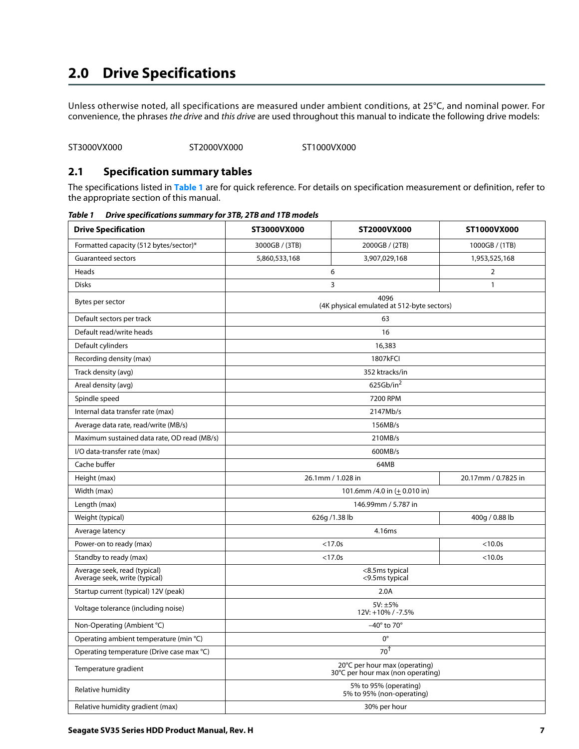# <span id="page-7-0"></span>**2.0 Drive Specifications**

Unless otherwise noted, all specifications are measured under ambient conditions, at 25°C, and nominal power. For convenience, the phrases the drive and this drive are used throughout this manual to indicate the following drive models:

ST3000VX000 ST2000VX000 ST1000VX000

#### <span id="page-7-1"></span>**2.1 Specification summary tables**

The specifications listed in **[Table 1](#page-7-2)** are for quick reference. For details on specification measurement or definition, refer to the appropriate section of this manual.

| <b>Drive Specification</b>                                    | ST3000VX000                                                        | ST2000VX000           | ST1000VX000         |  |
|---------------------------------------------------------------|--------------------------------------------------------------------|-----------------------|---------------------|--|
| Formatted capacity (512 bytes/sector)*                        | 3000GB / (3TB)                                                     | 2000GB / (2TB)        | 1000GB / (1TB)      |  |
| <b>Guaranteed sectors</b>                                     | 5,860,533,168<br>3,907,029,168                                     |                       | 1,953,525,168       |  |
| Heads                                                         |                                                                    | 6                     | 2                   |  |
| <b>Disks</b>                                                  |                                                                    | 3                     | $\mathbf{1}$        |  |
| Bytes per sector                                              | 4096<br>(4K physical emulated at 512-byte sectors)                 |                       |                     |  |
| Default sectors per track                                     |                                                                    | 63                    |                     |  |
| Default read/write heads                                      |                                                                    | 16                    |                     |  |
| Default cylinders                                             |                                                                    | 16,383                |                     |  |
| Recording density (max)                                       |                                                                    | <b>1807kFCI</b>       |                     |  |
| Track density (avg)                                           |                                                                    | 352 ktracks/in        |                     |  |
| Areal density (avg)                                           |                                                                    | 625Gb/in <sup>2</sup> |                     |  |
| Spindle speed                                                 |                                                                    | 7200 RPM              |                     |  |
| Internal data transfer rate (max)                             |                                                                    | 2147Mb/s              |                     |  |
| Average data rate, read/write (MB/s)                          |                                                                    | 156MB/s               |                     |  |
| Maximum sustained data rate, OD read (MB/s)                   | 210MB/s                                                            |                       |                     |  |
| I/O data-transfer rate (max)                                  | 600MB/s                                                            |                       |                     |  |
| Cache buffer                                                  |                                                                    | 64MB                  |                     |  |
| Height (max)                                                  | 26.1mm / 1.028 in                                                  |                       | 20.17mm / 0.7825 in |  |
| Width (max)                                                   | 101.6mm /4.0 in $(\pm 0.010 \text{ in})$                           |                       |                     |  |
| Length (max)                                                  | 146.99mm / 5.787 in                                                |                       |                     |  |
| Weight (typical)                                              |                                                                    | 626g /1.38 lb         | 400g / 0.88 lb      |  |
| Average latency                                               | 4.16ms                                                             |                       |                     |  |
| Power-on to ready (max)                                       |                                                                    | $<17.0s$              | $< 10.0s$           |  |
| Standby to ready (max)                                        |                                                                    | < 17.0s               | < 10.0s             |  |
| Average seek, read (typical)<br>Average seek, write (typical) | <8.5ms typical<br><9.5ms typical                                   |                       |                     |  |
| Startup current (typical) 12V (peak)                          | 2.0A                                                               |                       |                     |  |
| Voltage tolerance (including noise)                           | 5V: ±5%<br>12V: +10% / -7.5%                                       |                       |                     |  |
| Non-Operating (Ambient °C)                                    | $-40^\circ$ to 70 $^\circ$                                         |                       |                     |  |
| Operating ambient temperature (min °C)                        | $0^{\circ}$                                                        |                       |                     |  |
| Operating temperature (Drive case max °C)                     | $70^{\dagger}$                                                     |                       |                     |  |
| Temperature gradient                                          | 20°C per hour max (operating)<br>30°C per hour max (non operating) |                       |                     |  |
| Relative humidity                                             | 5% to 95% (operating)<br>5% to 95% (non-operating)                 |                       |                     |  |
| Relative humidity gradient (max)                              | 30% per hour                                                       |                       |                     |  |

<span id="page-7-2"></span>*Table 1 Drive specifications summary for 3TB, 2TB and 1TB models*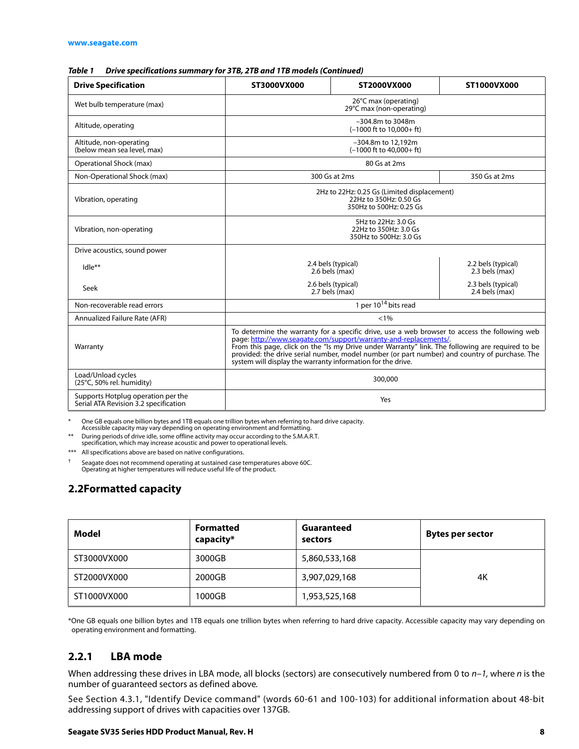#### *Table 1 Drive specifications summary for 3TB, 2TB and 1TB models (Continued)*

| <b>Drive Specification</b>                                                                                               | ST3000VX000<br>ST2000VX000<br>ST1000VX000                                                                                                                                                                                                                                                                                                                                                                                             |                                                                        |                                      |  |
|--------------------------------------------------------------------------------------------------------------------------|---------------------------------------------------------------------------------------------------------------------------------------------------------------------------------------------------------------------------------------------------------------------------------------------------------------------------------------------------------------------------------------------------------------------------------------|------------------------------------------------------------------------|--------------------------------------|--|
| Wet bulb temperature (max)                                                                                               | 26°C max (operating)<br>29°C max (non-operating)                                                                                                                                                                                                                                                                                                                                                                                      |                                                                        |                                      |  |
| Altitude, operating                                                                                                      |                                                                                                                                                                                                                                                                                                                                                                                                                                       | -304.8m to 3048m<br>$(-1000 \text{ ft to } 10,000 + \text{ ft})$       |                                      |  |
| Altitude, non-operating<br>(below mean sea level, max)                                                                   |                                                                                                                                                                                                                                                                                                                                                                                                                                       | -304.8m to 12.192m<br>$(-1000$ ft to $40.000 + ft$ )                   |                                      |  |
| Operational Shock (max)                                                                                                  |                                                                                                                                                                                                                                                                                                                                                                                                                                       | 80 Gs at 2ms                                                           |                                      |  |
| Non-Operational Shock (max)                                                                                              |                                                                                                                                                                                                                                                                                                                                                                                                                                       | 300 Gs at 2ms                                                          | 350 Gs at 2ms                        |  |
| 2Hz to 22Hz: 0.25 Gs (Limited displacement)<br>22Hz to 350Hz: 0.50 Gs<br>Vibration, operating<br>350Hz to 500Hz: 0.25 Gs |                                                                                                                                                                                                                                                                                                                                                                                                                                       |                                                                        |                                      |  |
| Vibration, non-operating                                                                                                 |                                                                                                                                                                                                                                                                                                                                                                                                                                       | 5Hz to 22Hz: 3.0 Gs<br>22Hz to 350Hz: 3.0 Gs<br>350Hz to 500Hz: 3.0 Gs |                                      |  |
| Drive acoustics, sound power                                                                                             |                                                                                                                                                                                                                                                                                                                                                                                                                                       |                                                                        |                                      |  |
| $Idle**$                                                                                                                 | 2.4 bels (typical)<br>2.6 bels (max)<br>2.3 bels (max)                                                                                                                                                                                                                                                                                                                                                                                |                                                                        | 2.2 bels (typical)                   |  |
| Seek                                                                                                                     | 2.6 bels (typical)<br>2.7 bels (max)                                                                                                                                                                                                                                                                                                                                                                                                  |                                                                        | 2.3 bels (typical)<br>2.4 bels (max) |  |
| Non-recoverable read errors                                                                                              | 1 per 10 <sup>14</sup> bits read                                                                                                                                                                                                                                                                                                                                                                                                      |                                                                        |                                      |  |
| Annualized Failure Rate (AFR)                                                                                            | $< 1\%$                                                                                                                                                                                                                                                                                                                                                                                                                               |                                                                        |                                      |  |
| Warranty                                                                                                                 | To determine the warranty for a specific drive, use a web browser to access the following web<br>page: http://www.seagate.com/support/warranty-and-replacements/.<br>From this page, click on the "Is my Drive under Warranty" link. The following are required to be<br>provided: the drive serial number, model number (or part number) and country of purchase. The<br>system will display the warranty information for the drive. |                                                                        |                                      |  |
| Load/Unload cycles<br>(25°C, 50% rel. humidity)                                                                          | 300,000                                                                                                                                                                                                                                                                                                                                                                                                                               |                                                                        |                                      |  |
| Supports Hotplug operation per the<br>Yes<br>Serial ATA Revision 3.2 specification                                       |                                                                                                                                                                                                                                                                                                                                                                                                                                       |                                                                        |                                      |  |

\* One GB equals one billion bytes and 1TB equals one trillion bytes when referring to hard drive capacity. Accessible capacity may vary depending on operating environment and formatting.

During periods of drive idle, some offline activity may occur according to the S.M.A.R.T. specification, which may increase acoustic and power to operational levels.

\*\*\* All specifications above are based on native configurations.

† Seagate does not recommend operating at sustained case temperatures above 60C. Operating at higher temperatures will reduce useful life of the product.

# <span id="page-8-0"></span>**2.2Formatted capacity**

| Model       | Formatted<br>capacity* | Guaranteed<br>sectors | Bytes per sector |
|-------------|------------------------|-----------------------|------------------|
| ST3000VX000 | 3000GB                 | 5,860,533,168         |                  |
| ST2000VX000 | 2000GB                 | 3,907,029,168         | 4K               |
| ST1000VX000 | 1000GB                 | 1,953,525,168         |                  |

\*One GB equals one billion bytes and 1TB equals one trillion bytes when referring to hard drive capacity. Accessible capacity may vary depending on operating environment and formatting.

#### <span id="page-8-1"></span>**2.2.1 LBA mode**

When addressing these drives in LBA mode, all blocks (sectors) are consecutively numbered from 0 to  $n-1$ , where n is the number of guaranteed sectors as defined above.

See [Section 4.3.1, "Identify Device command"](#page-24-0) (words 60-61 and 100-103) for additional information about 48-bit addressing support of drives with capacities over 137GB.

#### **Seagate SV35 Series HDD Product Manual, Rev. H 8**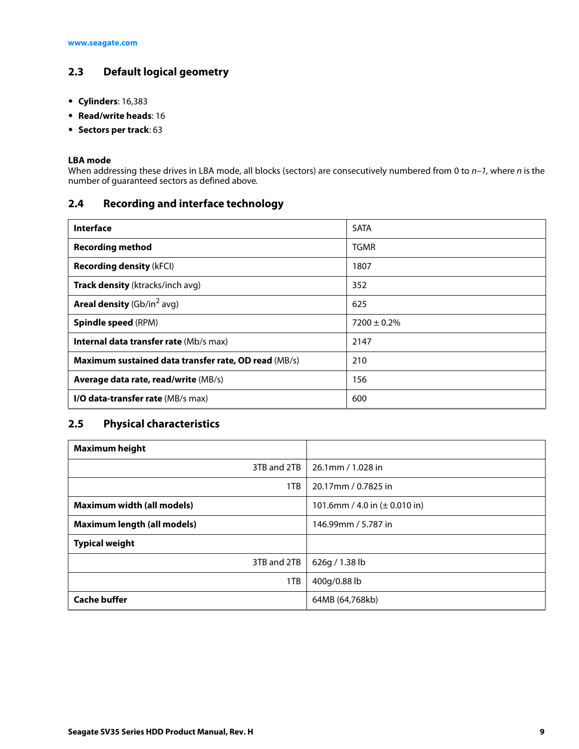# <span id="page-9-0"></span>**2.3 Default logical geometry**

- **Cylinders**: 16,383
- **Read/write heads**: 16
- **Sectors per track**: 63

#### **LBA mode**

When addressing these drives in LBA mode, all blocks (sectors) are consecutively numbered from 0 to  $n-1$ , where n is the number of guaranteed sectors as defined above.

# <span id="page-9-1"></span>**2.4 Recording and interface technology**

| <b>Interface</b>                                     | <b>SATA</b>      |
|------------------------------------------------------|------------------|
| <b>Recording method</b>                              | <b>TGMR</b>      |
| <b>Recording density (kFCI)</b>                      | 1807             |
| Track density (ktracks/inch avg)                     | 352              |
| <b>Areal density</b> ( $Gb/in2 avg$ )                | 625              |
| <b>Spindle speed (RPM)</b>                           | $7200 \pm 0.2\%$ |
| <b>Internal data transfer rate (Mb/s max)</b>        | 2147             |
| Maximum sustained data transfer rate, OD read (MB/s) | 210              |
| Average data rate, read/write (MB/s)                 | 156              |
| <b>I/O data-transfer rate (MB/s max)</b>             | 600              |

# <span id="page-9-2"></span>**2.5 Physical characteristics**

| <b>Maximum height</b>              |                                           |
|------------------------------------|-------------------------------------------|
| 3TB and 2TB                        | 26.1mm / 1.028 in                         |
| 1TB                                | 20.17mm / 0.7825 in                       |
| <b>Maximum width (all models)</b>  | 101.6mm / 4.0 in $(\pm 0.010 \text{ in})$ |
| <b>Maximum length (all models)</b> | 146.99mm / 5.787 in                       |
| <b>Typical weight</b>              |                                           |
| 3TB and 2TB                        | 626g / 1.38 lb                            |
| 1TB                                | 400g/0.88 lb                              |
| <b>Cache buffer</b>                | 64MB (64,768kb)                           |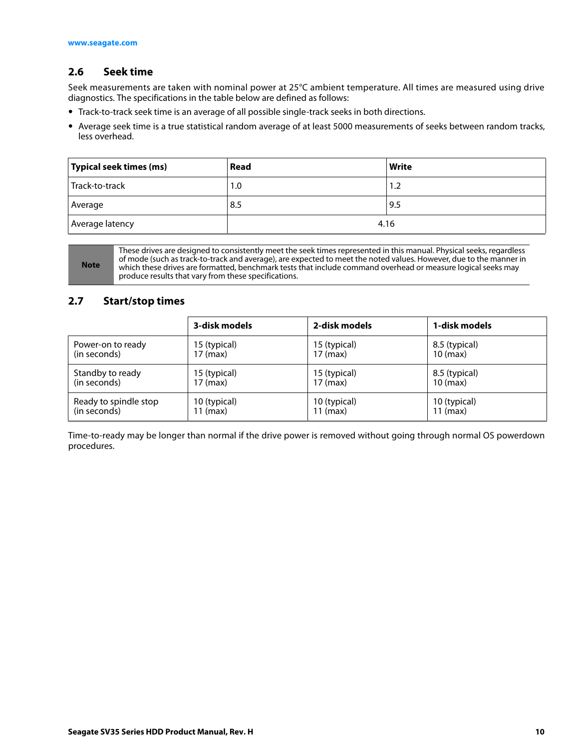#### <span id="page-10-0"></span>**2.6 Seek time**

Seek measurements are taken with nominal power at 25°C ambient temperature. All times are measured using drive diagnostics. The specifications in the table below are defined as follows:

- Track-to-track seek time is an average of all possible single-track seeks in both directions.
- Average seek time is a true statistical random average of at least 5000 measurements of seeks between random tracks, less overhead.

| Typical seek times (ms) | Read | <b>Write</b> |
|-------------------------|------|--------------|
| Track-to-track          | 1.0  | 1.2          |
| Average                 | 8.5  | 9.5          |
| Average latency         |      | 4.16         |

**Note**

These drives are designed to consistently meet the seek times represented in this manual. Physical seeks, regardless of mode (such as track-to-track and average), are expected to meet the noted values. However, due to the manner in which these drives are formatted, benchmark tests that include command overhead or measure logical seeks may produce results that vary from these specifications.

#### <span id="page-10-1"></span>**2.7 Start/stop times**

|                       | 3-disk models | 2-disk models | 1-disk models      |
|-----------------------|---------------|---------------|--------------------|
| Power-on to ready     | 15 (typical)  | 15 (typical)  | 8.5 (typical)      |
| (in seconds)          | 17 (max)      | 17 (max)      | $10 \text{ (max)}$ |
| Standby to ready      | 15 (typical)  | 15 (typical)  | 8.5 (typical)      |
| (in seconds)          | 17 (max)      | 17 (max)      | $10 \text{ (max)}$ |
| Ready to spindle stop | 10 (typical)  | 10 (typical)  | 10 (typical)       |
| (in seconds)          | 11 (max)      | $11$ (max)    | $11$ (max)         |

Time-to-ready may be longer than normal if the drive power is removed without going through normal OS powerdown procedures.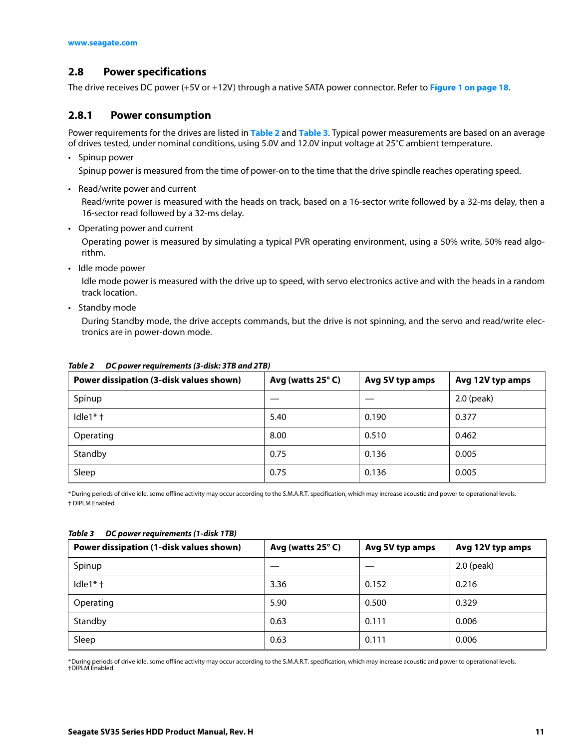#### <span id="page-11-0"></span>**2.8 Power specifications**

The drive receives DC power (+5V or +12V) through a native SATA power connector. Refer to **[Figure 1 on page 18](#page-18-4)**.

#### <span id="page-11-1"></span>**2.8.1 Power consumption**

Power requirements for the drives are listed in **[Table 2](#page-11-2)** and **[Table 3](#page-11-3)**. Typical power measurements are based on an average of drives tested, under nominal conditions, using 5.0V and 12.0V input voltage at 25°C ambient temperature.

• Spinup power

Spinup power is measured from the time of power-on to the time that the drive spindle reaches operating speed.

• Read/write power and current

Read/write power is measured with the heads on track, based on a 16-sector write followed by a 32-ms delay, then a 16-sector read followed by a 32-ms delay.

• Operating power and current

Operating power is measured by simulating a typical PVR operating environment, using a 50% write, 50% read algorithm.

• Idle mode power

Idle mode power is measured with the drive up to speed, with servo electronics active and with the heads in a random track location.

• Standby mode

During Standby mode, the drive accepts commands, but the drive is not spinning, and the servo and read/write electronics are in power-down mode.

| Power dissipation (3-disk values shown) | Avg (watts 25°C) | Avg 5V typ amps | Avg 12V typ amps |
|-----------------------------------------|------------------|-----------------|------------------|
| Spinup                                  |                  |                 | 2.0 (peak)       |
| Idle $1$ <sup>*</sup> $\dagger$         | 5.40             | 0.190           | 0.377            |
| Operating                               | 8.00             | 0.510           | 0.462            |
| Standby                                 | 0.75             | 0.136           | 0.005            |
| Sleep                                   | 0.75             | 0.136           | 0.005            |

#### <span id="page-11-2"></span>*Table 2 DC power requirements (3-disk: 3TB and 2TB)*

\*During periods of drive idle, some offline activity may occur according to the S.M.A.R.T. specification, which may increase acoustic and power to operational levels. † DIPLM Enabled

| Power dissipation (1-disk values shown) | Avg (watts 25°C) | Avg 5V typ amps | Avg 12V typ amps |
|-----------------------------------------|------------------|-----------------|------------------|
| Spinup                                  |                  |                 | $2.0$ (peak)     |
| Idle $1$ <sup>*</sup> $\dagger$         | 3.36             | 0.152           | 0.216            |
| Operating                               | 5.90             | 0.500           | 0.329            |
| Standby                                 | 0.63             | 0.111           | 0.006            |
| Sleep                                   | 0.63             | 0.111           | 0.006            |

#### <span id="page-11-3"></span>*Table 3 DC power requirements (1-disk 1TB)*

\*During periods of drive idle, some offline activity may occur according to the S.M.A.R.T. specification, which may increase acoustic and power to operational levels. †DIPLM Enabled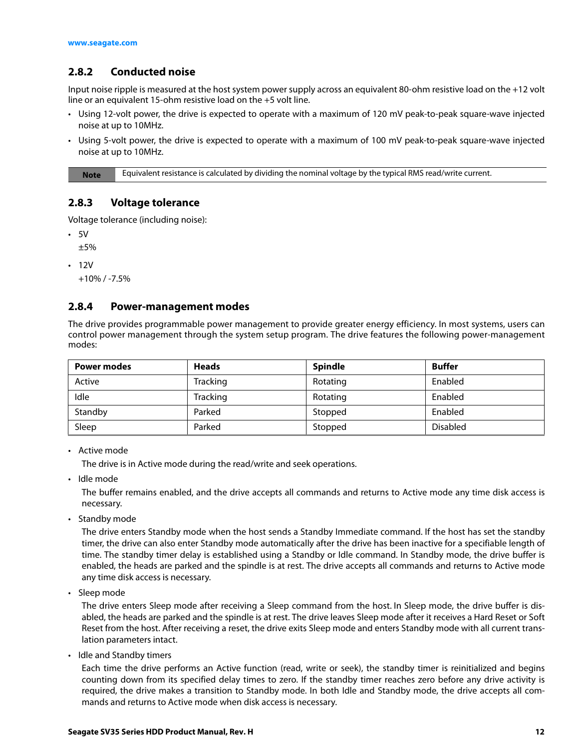# <span id="page-12-0"></span>**2.8.2 Conducted noise**

Input noise ripple is measured at the host system power supply across an equivalent 80-ohm resistive load on the +12 volt line or an equivalent 15-ohm resistive load on the +5 volt line.

- Using 12-volt power, the drive is expected to operate with a maximum of 120 mV peak-to-peak square-wave injected noise at up to 10MHz.
- Using 5-volt power, the drive is expected to operate with a maximum of 100 mV peak-to-peak square-wave injected noise at up to 10MHz.

**Note** Equivalent resistance is calculated by dividing the nominal voltage by the typical RMS read/write current.

#### <span id="page-12-1"></span>**2.8.3 Voltage tolerance**

Voltage tolerance (including noise):

• 5V

±5%

• 12V

+10% / -7.5%

### <span id="page-12-2"></span>**2.8.4 Power-management modes**

The drive provides programmable power management to provide greater energy efficiency. In most systems, users can control power management through the system setup program. The drive features the following power-management modes:

| <b>Power modes</b> | <b>Heads</b> | <b>Spindle</b> | <b>Buffer</b>   |
|--------------------|--------------|----------------|-----------------|
| Active             | Tracking     | Rotating       | Enabled         |
| Idle               | Tracking     | Rotating       | Enabled         |
| Standby            | Parked       | Stopped        | Enabled         |
| Sleep              | Parked       | Stopped        | <b>Disabled</b> |

• Active mode

The drive is in Active mode during the read/write and seek operations.

• Idle mode

The buffer remains enabled, and the drive accepts all commands and returns to Active mode any time disk access is necessary.

• Standby mode

The drive enters Standby mode when the host sends a Standby Immediate command. If the host has set the standby timer, the drive can also enter Standby mode automatically after the drive has been inactive for a specifiable length of time. The standby timer delay is established using a Standby or Idle command. In Standby mode, the drive buffer is enabled, the heads are parked and the spindle is at rest. The drive accepts all commands and returns to Active mode any time disk access is necessary.

• Sleep mode

The drive enters Sleep mode after receiving a Sleep command from the host. In Sleep mode, the drive buffer is disabled, the heads are parked and the spindle is at rest. The drive leaves Sleep mode after it receives a Hard Reset or Soft Reset from the host. After receiving a reset, the drive exits Sleep mode and enters Standby mode with all current translation parameters intact.

• Idle and Standby timers

Each time the drive performs an Active function (read, write or seek), the standby timer is reinitialized and begins counting down from its specified delay times to zero. If the standby timer reaches zero before any drive activity is required, the drive makes a transition to Standby mode. In both Idle and Standby mode, the drive accepts all commands and returns to Active mode when disk access is necessary.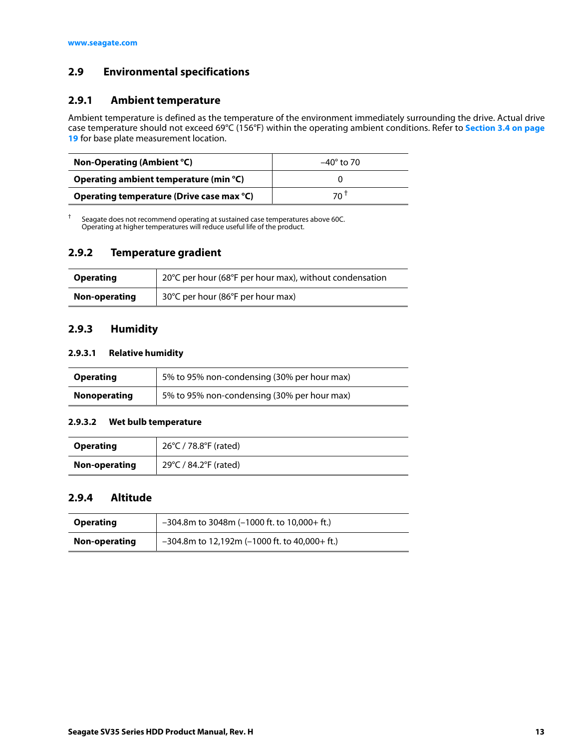# <span id="page-13-0"></span>**2.9 Environmental specifications**

#### <span id="page-13-1"></span>**2.9.1 Ambient temperature**

Ambient temperature is defined as the temperature of the environment immediately surrounding the drive. Actual drive case temperature should not exceed 69°C (156°F) within the operating ambient conditions. Refer to **[Section 3.4 on page](#page-19-0) [19](#page-19-0)** for base plate measurement location.

| Non-Operating (Ambient °C)                | $-40^\circ$ to 70 |  |
|-------------------------------------------|-------------------|--|
| Operating ambient temperature (min °C)    |                   |  |
| Operating temperature (Drive case max °C) | 70 <sup>T</sup>   |  |

† Seagate does not recommend operating at sustained case temperatures above 60C. Operating at higher temperatures will reduce useful life of the product.

#### <span id="page-13-2"></span>**2.9.2 Temperature gradient**

| <b>Operating</b> | 20°C per hour (68°F per hour max), without condensation |  |
|------------------|---------------------------------------------------------|--|
| Non-operating    | 30°C per hour (86°F per hour max)                       |  |

#### <span id="page-13-3"></span>**2.9.3 Humidity**

#### **2.9.3.1 Relative humidity**

| <b>Operating</b>    | 5% to 95% non-condensing (30% per hour max) |
|---------------------|---------------------------------------------|
| <b>Nonoperating</b> | 5% to 95% non-condensing (30% per hour max) |

#### **2.9.3.2 Wet bulb temperature**

| <b>Operating</b> | 26°C / 78.8°F (rated) |
|------------------|-----------------------|
| Non-operating    | 29°C / 84.2°F (rated) |

#### <span id="page-13-4"></span>**2.9.4 Altitude**

| <b>Operating</b> | $-304.8$ m to 3048m (-1000 ft. to 10,000+ ft.)   |
|------------------|--------------------------------------------------|
| Non-operating    | $-304.8$ m to 12,192m (-1000 ft. to 40,000+ ft.) |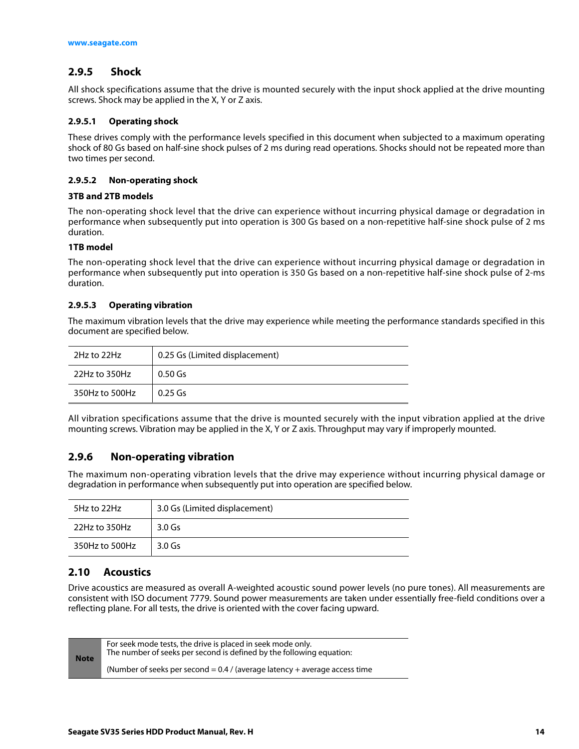# <span id="page-14-0"></span>**2.9.5 Shock**

All shock specifications assume that the drive is mounted securely with the input shock applied at the drive mounting screws. Shock may be applied in the X, Y or Z axis.

#### **2.9.5.1 Operating shock**

These drives comply with the performance levels specified in this document when subjected to a maximum operating shock of 80 Gs based on half-sine shock pulses of 2 ms during read operations. Shocks should not be repeated more than two times per second.

#### **2.9.5.2 Non-operating shock**

#### **3TB and 2TB models**

The non-operating shock level that the drive can experience without incurring physical damage or degradation in performance when subsequently put into operation is 300 Gs based on a non-repetitive half-sine shock pulse of 2 ms duration.

#### **1TB model**

The non-operating shock level that the drive can experience without incurring physical damage or degradation in performance when subsequently put into operation is 350 Gs based on a non-repetitive half-sine shock pulse of 2-ms duration.

#### **2.9.5.3 Operating vibration**

The maximum vibration levels that the drive may experience while meeting the performance standards specified in this document are specified below.

| 2Hz to 22Hz    | 0.25 Gs (Limited displacement) |  |
|----------------|--------------------------------|--|
| 22Hz to 350Hz  | $0.50$ Gs                      |  |
| 350Hz to 500Hz | $0.25$ Gs                      |  |

All vibration specifications assume that the drive is mounted securely with the input vibration applied at the drive mounting screws. Vibration may be applied in the X, Y or Z axis. Throughput may vary if improperly mounted.

## <span id="page-14-1"></span>**2.9.6 Non-operating vibration**

The maximum non-operating vibration levels that the drive may experience without incurring physical damage or degradation in performance when subsequently put into operation are specified below.

| 5Hz to 22Hz    | 3.0 Gs (Limited displacement) |  |
|----------------|-------------------------------|--|
| 22Hz to 350Hz  | $3.0$ Gs                      |  |
| 350Hz to 500Hz | 3.0 Gs                        |  |

#### <span id="page-14-2"></span>**2.10 Acoustics**

Drive acoustics are measured as overall A-weighted acoustic sound power levels (no pure tones). All measurements are consistent with ISO document 7779. Sound power measurements are taken under essentially free-field conditions over a reflecting plane. For all tests, the drive is oriented with the cover facing upward.

| <b>Note</b> | For seek mode tests, the drive is placed in seek mode only.<br>The number of seeks per second is defined by the following equation: |
|-------------|-------------------------------------------------------------------------------------------------------------------------------------|
|             | (Number of seeks per second = $0.4$ / (average latency + average access time                                                        |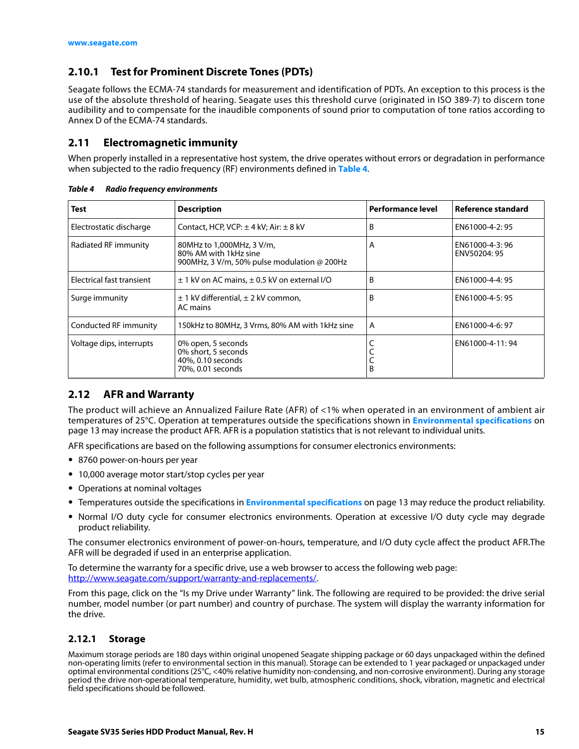# <span id="page-15-0"></span>**2.10.1 Test for Prominent Discrete Tones (PDTs)**

Seagate follows the ECMA-74 standards for measurement and identification of PDTs. An exception to this process is the use of the absolute threshold of hearing. Seagate uses this threshold curve (originated in ISO 389-7) to discern tone audibility and to compensate for the inaudible components of sound prior to computation of tone ratios according to Annex D of the ECMA-74 standards.

#### <span id="page-15-1"></span>**2.11 Electromagnetic immunity**

When properly installed in a representative host system, the drive operates without errors or degradation in performance when subjected to the radio frequency (RF) environments defined in **[Table 4](#page-15-4)**.

| <b>Test</b>                                                                       | <b>Description</b>                                                                                | <b>Performance level</b> | Reference standard             |
|-----------------------------------------------------------------------------------|---------------------------------------------------------------------------------------------------|--------------------------|--------------------------------|
| Electrostatic discharge                                                           | Contact, HCP, VCP: $\pm$ 4 kV; Air: $\pm$ 8 kV                                                    | B                        | EN61000-4-2:95                 |
| Radiated RF immunity                                                              | 80MHz to 1,000MHz, 3 V/m,<br>80% AM with 1kHz sine<br>900MHz, 3 V/m, 50% pulse modulation @ 200Hz | A                        | EN61000-4-3:96<br>ENV50204: 95 |
| Electrical fast transient<br>$\pm$ 1 kV on AC mains, $\pm$ 0.5 kV on external I/O |                                                                                                   | В                        | EN61000-4-4: 95                |
| Surge immunity                                                                    | $\pm$ 1 kV differential, $\pm$ 2 kV common,<br>AC mains                                           |                          | EN61000-4-5: 95                |
| Conducted RF immunity                                                             | 150kHz to 80MHz, 3 Vrms, 80% AM with 1kHz sine                                                    | A                        | EN61000-4-6: 97                |
| Voltage dips, interrupts                                                          | 0% open, 5 seconds<br>0% short, 5 seconds<br>40%, 0.10 seconds<br>70%, 0.01 seconds               |                          | EN61000-4-11:94                |

<span id="page-15-4"></span>*Table 4 Radio frequency environments*

## <span id="page-15-2"></span>**2.12 AFR and Warranty**

The product will achieve an Annualized Failure Rate (AFR) of <1% when operated in an environment of ambient air temperatures of 25°C. Operation at temperatures outside the specifications shown in **[Environmental specifications](#page-13-0)** on [page 13](#page-13-0) may increase the product AFR. AFR is a population statistics that is not relevant to individual units.

AFR specifications are based on the following assumptions for consumer electronics environments:

- 8760 power-on-hours per year
- 10,000 average motor start/stop cycles per year
- Operations at nominal voltages
- Temperatures outside the specifications in **[Environmental specifications](#page-13-0)** on page 13 may reduce the product reliability.
- Normal I/O duty cycle for consumer electronics environments. Operation at excessive I/O duty cycle may degrade product reliability.

The consumer electronics environment of power-on-hours, temperature, and I/O duty cycle affect the product AFR.The AFR will be degraded if used in an enterprise application.

To determine the warranty for a specific drive, use a web browser to access the following web page: [http://www.seag](http://www.seagate.com/support/warranty-and-replacements/)ate.com/support/warranty-and-replacements/.

From this page, click on the "Is my Drive under Warranty" link. The following are required to be provided: the drive serial number, model number (or part number) and country of purchase. The system will display the warranty information for the drive.

#### <span id="page-15-3"></span>**2.12.1 Storage**

Maximum storage periods are 180 days within original unopened Seagate shipping package or 60 days unpackaged within the defined non-operating limits (refer to environmental section in this manual). Storage can be extended to 1 year packaged or unpackaged under optimal environmental conditions (25°C, <40% relative humidity non-condensing, and non-corrosive environment). During any storage period the drive non-operational temperature, humidity, wet bulb, atmospheric conditions, shock, vibration, magnetic and electrical field specifications should be followed.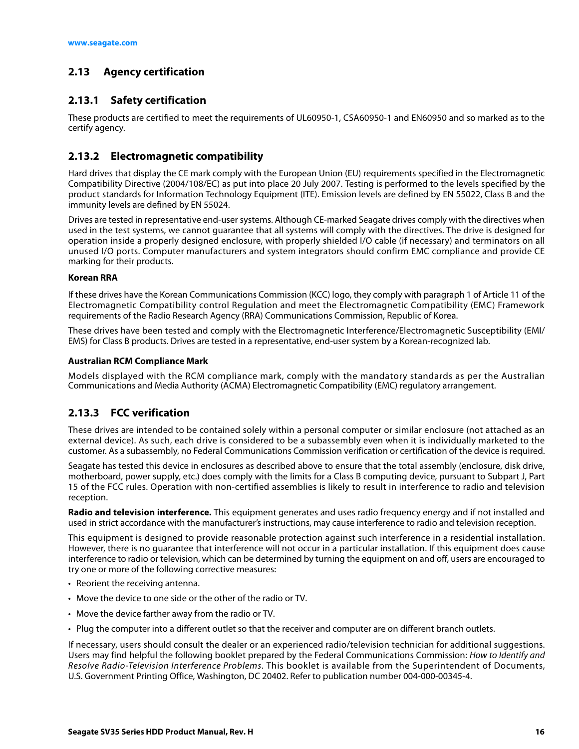# <span id="page-16-0"></span>**2.13 Agency certification**

# <span id="page-16-1"></span>**2.13.1 Safety certification**

These products are certified to meet the requirements of UL60950-1, CSA60950-1 and EN60950 and so marked as to the certify agency.

# <span id="page-16-2"></span>**2.13.2 Electromagnetic compatibility**

Hard drives that display the CE mark comply with the European Union (EU) requirements specified in the Electromagnetic Compatibility Directive (2004/108/EC) as put into place 20 July 2007. Testing is performed to the levels specified by the product standards for Information Technology Equipment (ITE). Emission levels are defined by EN 55022, Class B and the immunity levels are defined by EN 55024.

Drives are tested in representative end-user systems. Although CE-marked Seagate drives comply with the directives when used in the test systems, we cannot guarantee that all systems will comply with the directives. The drive is designed for operation inside a properly designed enclosure, with properly shielded I/O cable (if necessary) and terminators on all unused I/O ports. Computer manufacturers and system integrators should confirm EMC compliance and provide CE marking for their products.

#### **Korean RRA**

If these drives have the Korean Communications Commission (KCC) logo, they comply with paragraph 1 of Article 11 of the Electromagnetic Compatibility control Regulation and meet the Electromagnetic Compatibility (EMC) Framework requirements of the Radio Research Agency (RRA) Communications Commission, Republic of Korea.

These drives have been tested and comply with the Electromagnetic Interference/Electromagnetic Susceptibility (EMI/ EMS) for Class B products. Drives are tested in a representative, end-user system by a Korean-recognized lab.

#### **Australian RCM Compliance Mark**

Models displayed with the RCM compliance mark, comply with the mandatory standards as per the Australian Communications and Media Authority (ACMA) Electromagnetic Compatibility (EMC) regulatory arrangement.

# <span id="page-16-3"></span>**2.13.3 FCC verification**

These drives are intended to be contained solely within a personal computer or similar enclosure (not attached as an external device). As such, each drive is considered to be a subassembly even when it is individually marketed to the customer. As a subassembly, no Federal Communications Commission verification or certification of the device is required.

Seagate has tested this device in enclosures as described above to ensure that the total assembly (enclosure, disk drive, motherboard, power supply, etc.) does comply with the limits for a Class B computing device, pursuant to Subpart J, Part 15 of the FCC rules. Operation with non-certified assemblies is likely to result in interference to radio and television reception.

**Radio and television interference.** This equipment generates and uses radio frequency energy and if not installed and used in strict accordance with the manufacturer's instructions, may cause interference to radio and television reception.

This equipment is designed to provide reasonable protection against such interference in a residential installation. However, there is no guarantee that interference will not occur in a particular installation. If this equipment does cause interference to radio or television, which can be determined by turning the equipment on and off, users are encouraged to try one or more of the following corrective measures:

- Reorient the receiving antenna.
- Move the device to one side or the other of the radio or TV.
- Move the device farther away from the radio or TV.
- Plug the computer into a different outlet so that the receiver and computer are on different branch outlets.

If necessary, users should consult the dealer or an experienced radio/television technician for additional suggestions. Users may find helpful the following booklet prepared by the Federal Communications Commission: How to Identify and Resolve Radio-Television Interference Problems. This booklet is available from the Superintendent of Documents, U.S. Government Printing Office, Washington, DC 20402. Refer to publication number 004-000-00345-4.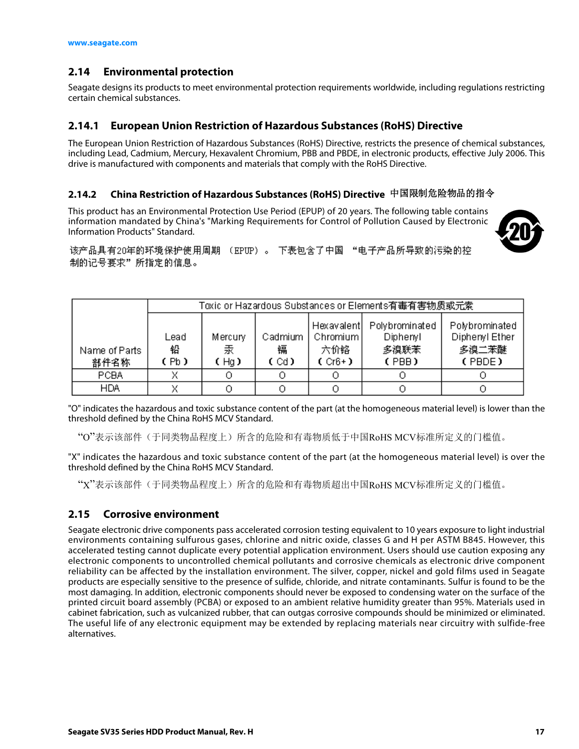# <span id="page-17-0"></span>**2.14 Environmental protection**

Seagate designs its products to meet environmental protection requirements worldwide, including regulations restricting certain chemical substances.

#### <span id="page-17-1"></span>**2.14.1 European Union Restriction of Hazardous Substances (RoHS) Directive**

The European Union Restriction of Hazardous Substances (RoHS) Directive, restricts the presence of chemical substances, including Lead, Cadmium, Mercury, Hexavalent Chromium, PBB and PBDE, in electronic products, effective July 2006. This drive is manufactured with components and materials that comply with the RoHS Directive.

## <span id="page-17-2"></span>**2.14.2 China Restriction of Hazardous Substances (RoHS) Directive**  中国限制危险物品的指令

This product has an Environmental Protection Use Period (EPUP) of 20 years. The following table contains information mandated by China's "Marking Requirements for Control of Pollution Caused by Electronic Information Products" Standard.



该产品具有20年的环境保护使用周期 (EPUP)。 下表包含了中国 "电子产品所导致的污染的控 制的记号要求"所指定的信息。

|                       |                   | Toxic or Hazardous Substances or Elements有毒有害物质或元素 |                        |                                                     |                                             |                                                     |
|-----------------------|-------------------|----------------------------------------------------|------------------------|-----------------------------------------------------|---------------------------------------------|-----------------------------------------------------|
| Name of Parts<br>部件名称 | Lead<br>铅<br>(Pb) | Mercury<br>汞<br>(Hq)                               | Cadmium<br>镉<br>C Cd D | <b>Hexavalentl</b><br>Chromium I<br>六价铬<br>$(Cr6+)$ | Polybrominated<br>Diphenyl<br>多溴联苯<br>(PBB) | Polybrominated<br>Diphenyl Ether<br>多溴二苯醚<br>(PBDE) |
| <b>PCBA</b>           |                   |                                                    |                        |                                                     |                                             |                                                     |
| <b>HDA</b>            |                   |                                                    |                        |                                                     |                                             |                                                     |

"O" indicates the hazardous and toxic substance content of the part (at the homogeneous material level) is lower than the threshold defined by the China RoHS MCV Standard.

"O"表示该部件(于同类物品程度上)所含的危险和有毒物质低于中国RoHS MCV标准所定义的门槛值。

"X" indicates the hazardous and toxic substance content of the part (at the homogeneous material level) is over the threshold defined by the China RoHS MCV Standard.

"X"表示该部件(于同类物品程度上)所含的危险和有毒物质超出中国RoHS MCV标准所定义的门槛值。

## <span id="page-17-3"></span>**2.15 Corrosive environment**

Seagate electronic drive components pass accelerated corrosion testing equivalent to 10 years exposure to light industrial environments containing sulfurous gases, chlorine and nitric oxide, classes G and H per ASTM B845. However, this accelerated testing cannot duplicate every potential application environment. Users should use caution exposing any electronic components to uncontrolled chemical pollutants and corrosive chemicals as electronic drive component reliability can be affected by the installation environment. The silver, copper, nickel and gold films used in Seagate products are especially sensitive to the presence of sulfide, chloride, and nitrate contaminants. Sulfur is found to be the most damaging. In addition, electronic components should never be exposed to condensing water on the surface of the printed circuit board assembly (PCBA) or exposed to an ambient relative humidity greater than 95%. Materials used in cabinet fabrication, such as vulcanized rubber, that can outgas corrosive compounds should be minimized or eliminated. The useful life of any electronic equipment may be extended by replacing materials near circuitry with sulfide-free alternatives.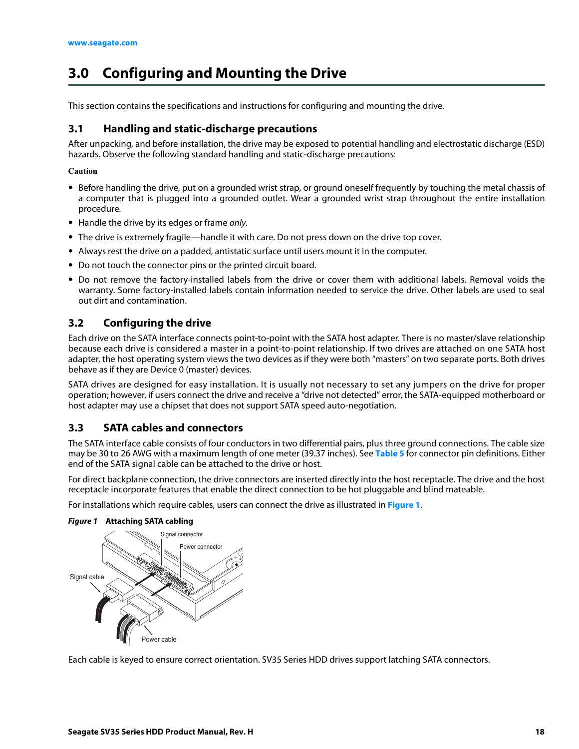# <span id="page-18-0"></span>**3.0 Configuring and Mounting the Drive**

This section contains the specifications and instructions for configuring and mounting the drive.

# <span id="page-18-1"></span>**3.1 Handling and static-discharge precautions**

After unpacking, and before installation, the drive may be exposed to potential handling and electrostatic discharge (ESD) hazards. Observe the following standard handling and static-discharge precautions:

#### **Caution**

- Before handling the drive, put on a grounded wrist strap, or ground oneself frequently by touching the metal chassis of a computer that is plugged into a grounded outlet. Wear a grounded wrist strap throughout the entire installation procedure.
- Handle the drive by its edges or frame only.
- The drive is extremely fragile—handle it with care. Do not press down on the drive top cover.
- Always rest the drive on a padded, antistatic surface until users mount it in the computer.
- Do not touch the connector pins or the printed circuit board.
- Do not remove the factory-installed labels from the drive or cover them with additional labels. Removal voids the warranty. Some factory-installed labels contain information needed to service the drive. Other labels are used to seal out dirt and contamination.

# <span id="page-18-2"></span>**3.2 Configuring the drive**

Each drive on the SATA interface connects point-to-point with the SATA host adapter. There is no master/slave relationship because each drive is considered a master in a point-to-point relationship. If two drives are attached on one SATA host adapter, the host operating system views the two devices as if they were both "masters" on two separate ports. Both drives behave as if they are Device 0 (master) devices.

SATA drives are designed for easy installation. It is usually not necessary to set any jumpers on the drive for proper operation; however, if users connect the drive and receive a "drive not detected" error, the SATA-equipped motherboard or host adapter may use a chipset that does not support SATA speed auto-negotiation.

## <span id="page-18-3"></span>**3.3 SATA cables and connectors**

The SATA interface cable consists of four conductors in two differential pairs, plus three ground connections. The cable size may be 30 to 26 AWG with a maximum length of one meter (39.37 inches). See **[Table 5](#page-21-3)** for connector pin definitions. Either end of the SATA signal cable can be attached to the drive or host.

For direct backplane connection, the drive connectors are inserted directly into the host receptacle. The drive and the host receptacle incorporate features that enable the direct connection to be hot pluggable and blind mateable.

For installations which require cables, users can connect the drive as illustrated in **[Figure 1](#page-18-4)**.



<span id="page-18-4"></span>*Figure 1* **Attaching SATA cabling**

Each cable is keyed to ensure correct orientation. SV35 Series HDD drives support latching SATA connectors.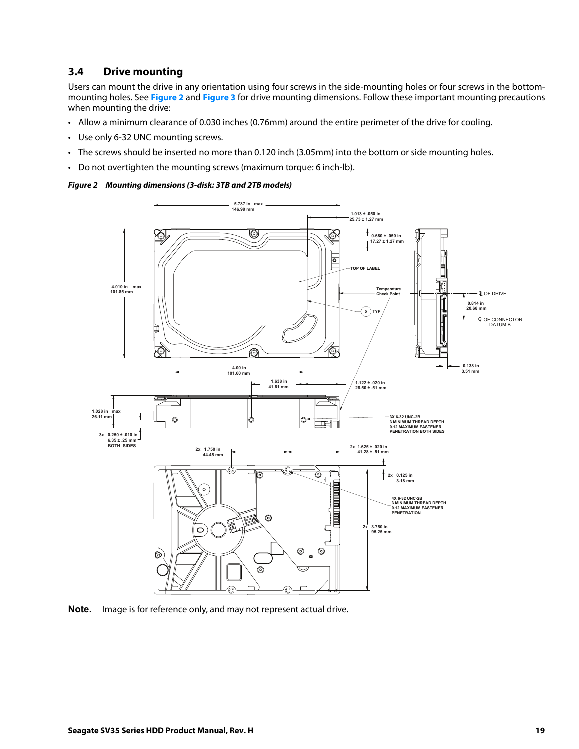### <span id="page-19-0"></span>**3.4 Drive mounting**

Users can mount the drive in any orientation using four screws in the side-mounting holes or four screws in the bottommounting holes. See **[Figure 2](#page-19-1)** and **[Figure 3](#page-20-0)** for drive mounting dimensions. Follow these important mounting precautions when mounting the drive:

- Allow a minimum clearance of 0.030 inches (0.76mm) around the entire perimeter of the drive for cooling.
- Use only 6-32 UNC mounting screws.
- The screws should be inserted no more than 0.120 inch (3.05mm) into the bottom or side mounting holes.
- Do not overtighten the mounting screws (maximum torque: 6 inch-lb).

#### <span id="page-19-1"></span>*Figure 2 Mounting dimensions (3-disk: 3TB and 2TB models)*



**Note.** Image is for reference only, and may not represent actual drive.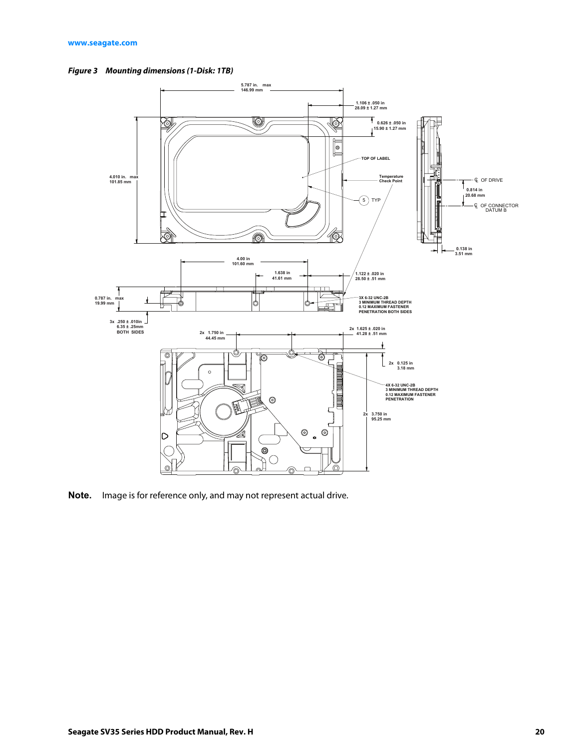<span id="page-20-0"></span>



**Note.** Image is for reference only, and may not represent actual drive.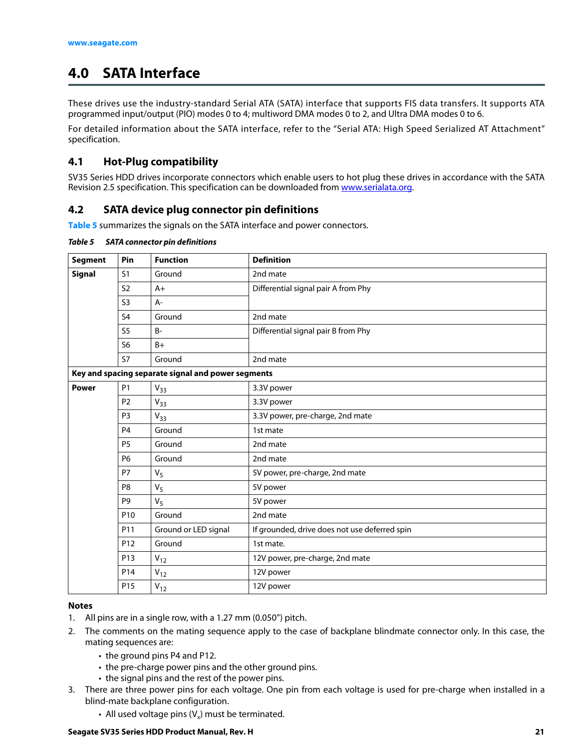# <span id="page-21-0"></span>**4.0 SATA Interface**

These drives use the industry-standard Serial ATA (SATA) interface that supports FIS data transfers. It supports ATA programmed input/output (PIO) modes 0 to 4; multiword DMA modes 0 to 2, and Ultra DMA modes 0 to 6.

For detailed information about the SATA interface, refer to the "Serial ATA: High Speed Serialized AT Attachment" specification.

# <span id="page-21-1"></span>**4.1 Hot-Plug compatibility**

SV35 Series HDD drives incorporate connectors which enable users to hot plug these drives in accordance with the SATA Revision 2.5 specification. This specification can be downloaded from [www.serialata.org.](http://www.serialata.org)

# <span id="page-21-2"></span>**4.2 SATA device plug connector pin definitions**

**[Table 5](#page-21-3)** summarizes the signals on the SATA interface and power connectors.

| <b>Segment</b> | Pin             | <b>Function</b>                                    | <b>Definition</b>                             |
|----------------|-----------------|----------------------------------------------------|-----------------------------------------------|
| Signal         | S <sub>1</sub>  | Ground                                             | 2nd mate                                      |
|                | S <sub>2</sub>  | $A+$                                               | Differential signal pair A from Phy           |
|                | S <sub>3</sub>  | A-                                                 |                                               |
|                | S <sub>4</sub>  | Ground                                             | 2nd mate                                      |
|                | S <sub>5</sub>  | <b>B-</b>                                          | Differential signal pair B from Phy           |
|                | S <sub>6</sub>  | $B+$                                               |                                               |
|                | S7              | Ground                                             | 2nd mate                                      |
|                |                 | Key and spacing separate signal and power segments |                                               |
| <b>Power</b>   | P <sub>1</sub>  | $V_{33}$                                           | 3.3V power                                    |
|                | P <sub>2</sub>  | $V_{33}$                                           | 3.3V power                                    |
|                | P <sub>3</sub>  | $V_{33}$                                           | 3.3V power, pre-charge, 2nd mate              |
|                | P <sub>4</sub>  | Ground                                             | 1st mate                                      |
|                | P <sub>5</sub>  | Ground                                             | 2nd mate                                      |
|                | <b>P6</b>       | Ground                                             | 2nd mate                                      |
|                | <b>P7</b>       | $V_5$                                              | 5V power, pre-charge, 2nd mate                |
|                | P <sub>8</sub>  | V <sub>5</sub>                                     | 5V power                                      |
|                | P <sub>9</sub>  | $V_5$                                              | 5V power                                      |
|                | P <sub>10</sub> | Ground                                             | 2nd mate                                      |
|                | P <sub>11</sub> | Ground or LED signal                               | If grounded, drive does not use deferred spin |
|                | P <sub>12</sub> | Ground                                             | 1st mate.                                     |
|                | P <sub>13</sub> | $V_{12}$                                           | 12V power, pre-charge, 2nd mate               |
|                | P14             | $V_{12}$                                           | 12V power                                     |
|                | P15             | $V_{12}$                                           | 12V power                                     |

#### <span id="page-21-3"></span>*Table 5 SATA connector pin definitions*

#### **Notes**

- 1. All pins are in a single row, with a 1.27 mm (0.050") pitch.
- 2. The comments on the mating sequence apply to the case of backplane blindmate connector only. In this case, the mating sequences are:
	- the ground pins P4 and P12.
	- the pre-charge power pins and the other ground pins.
	- the signal pins and the rest of the power pins.
- 3. There are three power pins for each voltage. One pin from each voltage is used for pre-charge when installed in a blind-mate backplane configuration.
	- All used voltage pins  $(V_x)$  must be terminated.

#### **Seagate SV35 Series HDD Product Manual, Rev. H 21**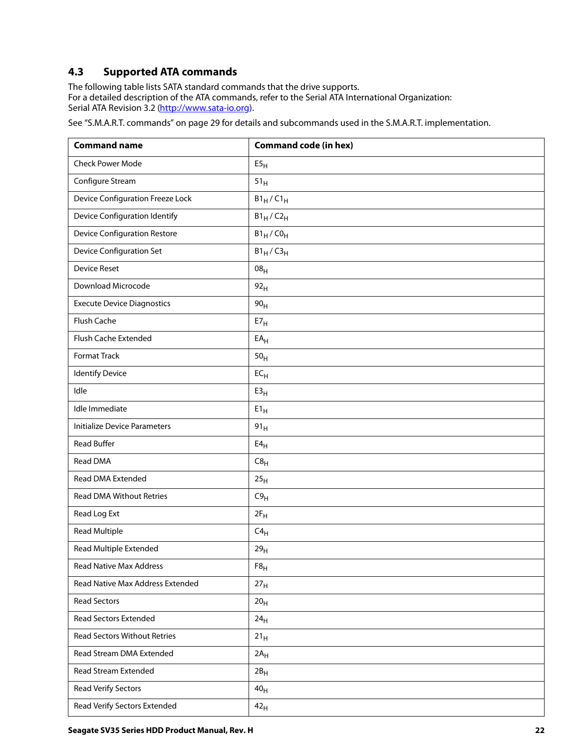# <span id="page-22-0"></span>**4.3 Supported ATA commands**

The following table lists SATA standard commands that the drive supports. For a detailed description of the ATA commands, refer to the Serial ATA International Organization: Serial ATA Revision 3.2 [\(http://www.sata-io.or](http://www.sata-io.org)g).

[See "S.M.A.R.T. commands" on page 29 f](#page-29-0)or details and subcommands used in the S.M.A.R.T. implementation.

| <b>Command name</b>                 | <b>Command code (in hex)</b> |
|-------------------------------------|------------------------------|
| <b>Check Power Mode</b>             | E5 <sub>H</sub>              |
| Configure Stream                    | 51 <sub>H</sub>              |
| Device Configuration Freeze Lock    | $B1_H/C1_H$                  |
| Device Configuration Identify       | $B1_H/C2_H$                  |
| <b>Device Configuration Restore</b> | $B1_H$ /CO <sub>H</sub>      |
| <b>Device Configuration Set</b>     | $B1_H/C3_H$                  |
| <b>Device Reset</b>                 | 08 <sub>H</sub>              |
| Download Microcode                  | 92 <sub>H</sub>              |
| <b>Execute Device Diagnostics</b>   | 90 <sub>H</sub>              |
| Flush Cache                         | $E7_H$                       |
| Flush Cache Extended                | $\mathsf{EA}_\mathsf{H}$     |
| <b>Format Track</b>                 | 50 <sub>H</sub>              |
| <b>Identify Device</b>              | $\mathsf{EC}_{\mathsf{H}}$   |
| Idle                                | E3 <sub>H</sub>              |
| Idle Immediate                      | $E1_H$                       |
| <b>Initialize Device Parameters</b> | 91 <sub>H</sub>              |
| <b>Read Buffer</b>                  | $E4_H$                       |
| Read DMA                            | $C8_H$                       |
| Read DMA Extended                   | 25 <sub>H</sub>              |
| <b>Read DMA Without Retries</b>     | C9 <sub>H</sub>              |
| Read Log Ext                        | $2F_H$                       |
| <b>Read Multiple</b>                | $C4_H$                       |
| Read Multiple Extended              | 29 <sub>H</sub>              |
| <b>Read Native Max Address</b>      | $F8_H$                       |
| Read Native Max Address Extended    | 27 <sub>H</sub>              |
| <b>Read Sectors</b>                 | 20 <sub>H</sub>              |
| <b>Read Sectors Extended</b>        | 24 <sub>H</sub>              |
| <b>Read Sectors Without Retries</b> | 21 <sub>H</sub>              |
| Read Stream DMA Extended            | $2A_H$                       |
| Read Stream Extended                | $2B_H$                       |
| Read Verify Sectors                 | 40 <sub>H</sub>              |
| Read Verify Sectors Extended        | 42 <sub>H</sub>              |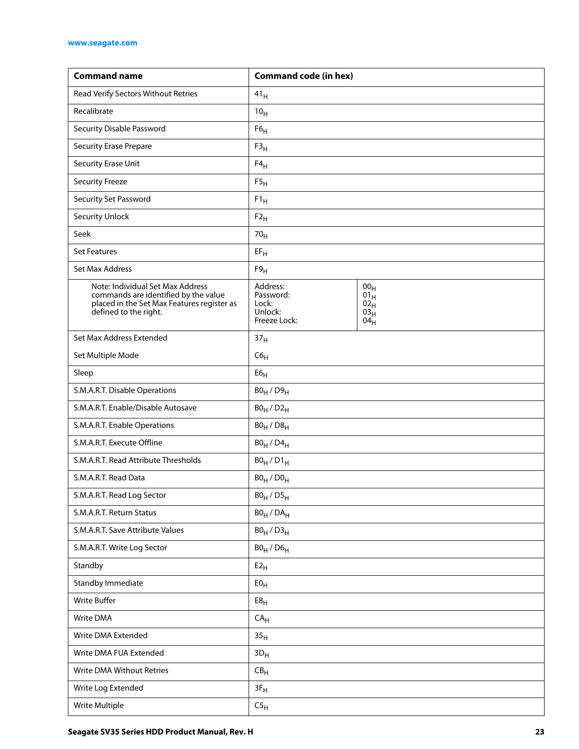| <b>Command name</b>                                                                                                                             | <b>Command code (in hex)</b>                              |                                                                           |
|-------------------------------------------------------------------------------------------------------------------------------------------------|-----------------------------------------------------------|---------------------------------------------------------------------------|
| Read Verify Sectors Without Retries                                                                                                             | 41 <sub>H</sub>                                           |                                                                           |
| Recalibrate                                                                                                                                     | 10 <sub>H</sub>                                           |                                                                           |
| Security Disable Password                                                                                                                       | F6 <sub>H</sub>                                           |                                                                           |
| <b>Security Erase Prepare</b>                                                                                                                   | F3 <sub>H</sub>                                           |                                                                           |
| Security Erase Unit                                                                                                                             | $F4_H$                                                    |                                                                           |
| <b>Security Freeze</b>                                                                                                                          | F5 <sub>H</sub>                                           |                                                                           |
| Security Set Password                                                                                                                           | $F1_H$                                                    |                                                                           |
| <b>Security Unlock</b>                                                                                                                          | $F2_H$                                                    |                                                                           |
| Seek                                                                                                                                            | 70 <sub>H</sub>                                           |                                                                           |
| <b>Set Features</b>                                                                                                                             | $EF_H$                                                    |                                                                           |
| Set Max Address                                                                                                                                 | F9 <sub>H</sub>                                           |                                                                           |
| Note: Individual Set Max Address<br>commands are identified by the value<br>placed in the Set Max Features register as<br>defined to the right. | Address:<br>Password:<br>Lock:<br>Unlock:<br>Freeze Lock: | 00 <sub>H</sub><br>01 <sub>H</sub><br>$02_H$<br>03 <sub>H</sub><br>$04_H$ |
| Set Max Address Extended                                                                                                                        | 37 <sub>H</sub>                                           |                                                                           |
| Set Multiple Mode                                                                                                                               | C6 <sub>H</sub>                                           |                                                                           |
| Sleep                                                                                                                                           | E6 <sub>H</sub>                                           |                                                                           |
| S.M.A.R.T. Disable Operations                                                                                                                   | $B0_H / D9_H$                                             |                                                                           |
| S.M.A.R.T. Enable/Disable Autosave                                                                                                              | $B0_H/D2_H$                                               |                                                                           |
| S.M.A.R.T. Enable Operations                                                                                                                    | $B0_H / D8_H$                                             |                                                                           |
| S.M.A.R.T. Execute Offline                                                                                                                      | $B0_H$ / $D4_H$                                           |                                                                           |
| S.M.A.R.T. Read Attribute Thresholds                                                                                                            | $B0_H/D1_H$                                               |                                                                           |
| S.M.A.R.T. Read Data                                                                                                                            | $BO_H / DO_H$                                             |                                                                           |
| S.M.A.R.T. Read Log Sector                                                                                                                      | $B0_H / D5_H$                                             |                                                                           |
| S.M.A.R.T. Return Status                                                                                                                        | $BO_H / DA_H$                                             |                                                                           |
| S.M.A.R.T. Save Attribute Values                                                                                                                | $B0_H / D3_H$                                             |                                                                           |
| S.M.A.R.T. Write Log Sector                                                                                                                     | $B0_H$ / $D6_H$                                           |                                                                           |
| Standby                                                                                                                                         | E2 <sub>H</sub>                                           |                                                                           |
| Standby Immediate                                                                                                                               | ${\sf E0}_{\mathsf{H}}$                                   |                                                                           |
| Write Buffer                                                                                                                                    | ${\sf E8}_{\sf H}$                                        |                                                                           |
| Write DMA                                                                                                                                       | CA <sub>H</sub>                                           |                                                                           |
| Write DMA Extended                                                                                                                              | 35 <sub>H</sub>                                           |                                                                           |
| Write DMA FUA Extended                                                                                                                          | $3D_H$                                                    |                                                                           |
| Write DMA Without Retries                                                                                                                       | $\mathsf{CB}_\mathsf{H}$                                  |                                                                           |
| Write Log Extended                                                                                                                              | $3F_H$                                                    |                                                                           |
| Write Multiple                                                                                                                                  | C5 <sub>H</sub>                                           |                                                                           |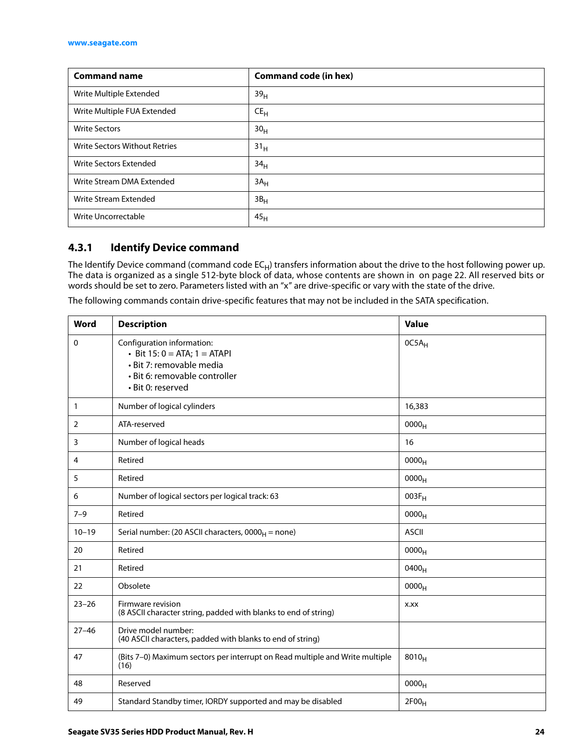| <b>Command name</b>           | <b>Command code (in hex)</b> |
|-------------------------------|------------------------------|
| Write Multiple Extended       | 39 <sub>H</sub>              |
| Write Multiple FUA Extended   | $CE_{H}$                     |
| <b>Write Sectors</b>          | 30 <sub>H</sub>              |
| Write Sectors Without Retries | 31 <sub>H</sub>              |
| Write Sectors Extended        | 34 <sub>H</sub>              |
| Write Stream DMA Extended     | $3A_H$                       |
| Write Stream Extended         | 3B <sub>H</sub>              |
| Write Uncorrectable           | 45 <sub>H</sub>              |

# <span id="page-24-0"></span>**4.3.1 Identify Device command**

The Identify Device command (command code  $EC_H$ ) transfers information about the drive to the host following power up. The data is organized as a single 512-byte block of data, whose contents are shown in on page 22. All reserved bits or words should be set to zero. Parameters listed with an "x" are drive-specific or vary with the state of the drive.

The following commands contain drive-specific features that may not be included in the SATA specification.

| <b>Word</b>  | <b>Description</b>                                                                                                                                | <b>Value</b>      |  |
|--------------|---------------------------------------------------------------------------------------------------------------------------------------------------|-------------------|--|
| 0            | Configuration information:<br>• Bit $15: 0 = ATA$ ; $1 = ATAPI$<br>· Bit 7: removable media<br>· Bit 6: removable controller<br>· Bit 0: reserved | 0C5A <sub>H</sub> |  |
| $\mathbf{1}$ | Number of logical cylinders                                                                                                                       | 16,383            |  |
| 2            | ATA-reserved                                                                                                                                      | 0000 <sub>H</sub> |  |
| 3            | Number of logical heads                                                                                                                           | 16                |  |
| 4            | Retired                                                                                                                                           | 0000 <sub>H</sub> |  |
| 5            | Retired                                                                                                                                           | 0000 <sub>H</sub> |  |
| 6            | Number of logical sectors per logical track: 63                                                                                                   | $003F_H$          |  |
| $7 - 9$      | Retired                                                                                                                                           | 0000 <sub>H</sub> |  |
| $10 - 19$    | Serial number: (20 ASCII characters, $0000_H$ = none)                                                                                             | <b>ASCII</b>      |  |
| 20           | Retired                                                                                                                                           | 0000 <sub>H</sub> |  |
| 21           | Retired                                                                                                                                           | 0400 <sub>H</sub> |  |
| 22           | Obsolete                                                                                                                                          | 0000 <sub>H</sub> |  |
| $23 - 26$    | Firmware revision<br>(8 ASCII character string, padded with blanks to end of string)                                                              | X.XX              |  |
| $27 - 46$    | Drive model number:<br>(40 ASCII characters, padded with blanks to end of string)                                                                 |                   |  |
| 47           | (Bits 7-0) Maximum sectors per interrupt on Read multiple and Write multiple<br>(16)                                                              | $8010_H$          |  |
| 48           | Reserved                                                                                                                                          | 0000 <sub>H</sub> |  |
| 49           | Standard Standby timer, IORDY supported and may be disabled                                                                                       | 2F00 <sub>H</sub> |  |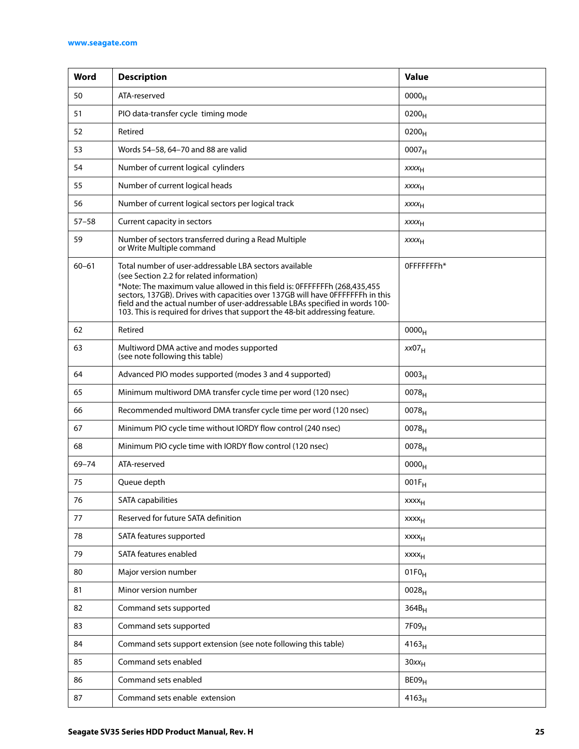| Word      | <b>Description</b>                                                                                                                                                                                                                                                                                                                                                                                                                                | <b>Value</b>            |
|-----------|---------------------------------------------------------------------------------------------------------------------------------------------------------------------------------------------------------------------------------------------------------------------------------------------------------------------------------------------------------------------------------------------------------------------------------------------------|-------------------------|
| 50        | ATA-reserved                                                                                                                                                                                                                                                                                                                                                                                                                                      | 0000 <sub>H</sub>       |
| 51        | PIO data-transfer cycle timing mode                                                                                                                                                                                                                                                                                                                                                                                                               | $0200_H$                |
| 52        | Retired                                                                                                                                                                                                                                                                                                                                                                                                                                           | $0200_H$                |
| 53        | Words 54-58, 64-70 and 88 are valid                                                                                                                                                                                                                                                                                                                                                                                                               | 0007 <sub>H</sub>       |
| 54        | Number of current logical cylinders                                                                                                                                                                                                                                                                                                                                                                                                               | XXXH                    |
| 55        | Number of current logical heads                                                                                                                                                                                                                                                                                                                                                                                                                   | <b>XXXX<sub>H</sub></b> |
| 56        | Number of current logical sectors per logical track                                                                                                                                                                                                                                                                                                                                                                                               | <b>XXXX<sub>H</sub></b> |
| $57 - 58$ | Current capacity in sectors                                                                                                                                                                                                                                                                                                                                                                                                                       | <b>XXXX<sub>H</sub></b> |
| 59        | Number of sectors transferred during a Read Multiple<br>or Write Multiple command                                                                                                                                                                                                                                                                                                                                                                 | <b>XXXX<sub>H</sub></b> |
| $60 - 61$ | Total number of user-addressable LBA sectors available<br>OFFFFFFFh*<br>(see Section 2.2 for related information)<br>*Note: The maximum value allowed in this field is: 0FFFFFFFh (268,435,455)<br>sectors, 137GB). Drives with capacities over 137GB will have 0FFFFFFFh in this<br>field and the actual number of user-addressable LBAs specified in words 100-<br>103. This is required for drives that support the 48-bit addressing feature. |                         |
| 62        | Retired                                                                                                                                                                                                                                                                                                                                                                                                                                           | 0000 <sub>H</sub>       |
| 63        | Multiword DMA active and modes supported<br>(see note following this table)                                                                                                                                                                                                                                                                                                                                                                       | xx07 <sub>H</sub>       |
| 64        | Advanced PIO modes supported (modes 3 and 4 supported)                                                                                                                                                                                                                                                                                                                                                                                            | 0003 <sub>H</sub>       |
| 65        | Minimum multiword DMA transfer cycle time per word (120 nsec)                                                                                                                                                                                                                                                                                                                                                                                     | 0078 <sub>H</sub>       |
| 66        | Recommended multiword DMA transfer cycle time per word (120 nsec)<br>$0078_H$                                                                                                                                                                                                                                                                                                                                                                     |                         |
| 67        | Minimum PIO cycle time without IORDY flow control (240 nsec)<br>$0078_{H}$                                                                                                                                                                                                                                                                                                                                                                        |                         |
| 68        | Minimum PIO cycle time with IORDY flow control (120 nsec)<br>$0078_H$                                                                                                                                                                                                                                                                                                                                                                             |                         |
| $69 - 74$ | ATA-reserved                                                                                                                                                                                                                                                                                                                                                                                                                                      | 0000 <sub>H</sub>       |
| 75        | Queue depth                                                                                                                                                                                                                                                                                                                                                                                                                                       | $001F_H$                |
| 76        | <b>SATA</b> capabilities                                                                                                                                                                                                                                                                                                                                                                                                                          | $xxxx_{H}$              |
| 77        | Reserved for future SATA definition                                                                                                                                                                                                                                                                                                                                                                                                               | xxxx <sub>H</sub>       |
| 78        | SATA features supported                                                                                                                                                                                                                                                                                                                                                                                                                           | <b>XXXX<sub>H</sub></b> |
| 79        | SATA features enabled                                                                                                                                                                                                                                                                                                                                                                                                                             | $xxxx_{H}$              |
| 80        | Major version number                                                                                                                                                                                                                                                                                                                                                                                                                              | $01F0_H$                |
| 81        | Minor version number                                                                                                                                                                                                                                                                                                                                                                                                                              | $0028_{H}$              |
| 82        | Command sets supported                                                                                                                                                                                                                                                                                                                                                                                                                            | $364B_H$                |
| 83        | Command sets supported                                                                                                                                                                                                                                                                                                                                                                                                                            | 7F09 <sub>H</sub>       |
| 84        | Command sets support extension (see note following this table)                                                                                                                                                                                                                                                                                                                                                                                    | $4163_H$                |
| 85        | Command sets enabled                                                                                                                                                                                                                                                                                                                                                                                                                              | $30xx_H$                |
| 86        | Command sets enabled<br>BE09 <sub>H</sub>                                                                                                                                                                                                                                                                                                                                                                                                         |                         |
| 87        | Command sets enable extension                                                                                                                                                                                                                                                                                                                                                                                                                     | $4163_H$                |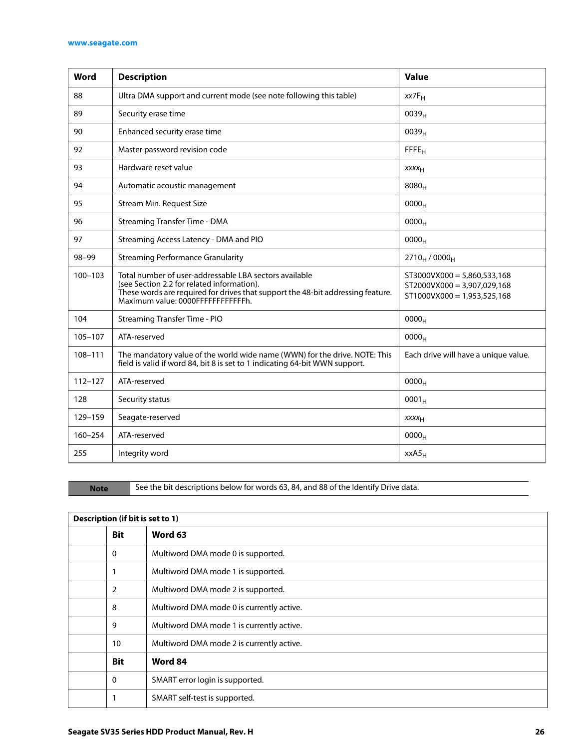#### **[www.seagate.com](http://www.seagate.com)**

| Word        | <b>Description</b>                                                                                                                                                                                                                                                                                                            | <b>Value</b>                         |
|-------------|-------------------------------------------------------------------------------------------------------------------------------------------------------------------------------------------------------------------------------------------------------------------------------------------------------------------------------|--------------------------------------|
| 88          | Ultra DMA support and current mode (see note following this table)                                                                                                                                                                                                                                                            | $xx7F_H$                             |
| 89          | Security erase time                                                                                                                                                                                                                                                                                                           | 0039 <sub>H</sub>                    |
| 90          | Enhanced security erase time                                                                                                                                                                                                                                                                                                  | 0039 <sub>H</sub>                    |
| 92          | Master password revision code                                                                                                                                                                                                                                                                                                 | FFE <sub>H</sub>                     |
| 93          | Hardware reset value                                                                                                                                                                                                                                                                                                          | XXXH                                 |
| 94          | Automatic acoustic management                                                                                                                                                                                                                                                                                                 | 8080 <sub>H</sub>                    |
| 95          | Stream Min. Request Size                                                                                                                                                                                                                                                                                                      | 0000 <sub>H</sub>                    |
| 96          | <b>Streaming Transfer Time - DMA</b>                                                                                                                                                                                                                                                                                          | 0000 <sub>H</sub>                    |
| 97          | Streaming Access Latency - DMA and PIO                                                                                                                                                                                                                                                                                        | 0000 <sub>H</sub>                    |
| $98 - 99$   | <b>Streaming Performance Granularity</b>                                                                                                                                                                                                                                                                                      | $2710_H / 0000_H$                    |
| $100 - 103$ | Total number of user-addressable LBA sectors available<br>$ST3000VX000 = 5,860,533,168$<br>(see Section 2.2 for related information).<br>ST2000VX000 = 3,907,029,168<br>These words are required for drives that support the 48-bit addressing feature.<br>$ST1000VX000 = 1,953,525,168$<br>Maximum value: 0000FFFFFFFFFFFFh. |                                      |
| 104         | <b>Streaming Transfer Time - PIO</b>                                                                                                                                                                                                                                                                                          | 0000 <sub>H</sub>                    |
| 105-107     | ATA-reserved                                                                                                                                                                                                                                                                                                                  | 0000 <sub>H</sub>                    |
| 108-111     | The mandatory value of the world wide name (WWN) for the drive. NOTE: This<br>field is valid if word 84, bit 8 is set to 1 indicating 64-bit WWN support.                                                                                                                                                                     | Each drive will have a unique value. |
| $112 - 127$ | ATA-reserved                                                                                                                                                                                                                                                                                                                  | 0000 <sub>H</sub>                    |
| 128         | Security status                                                                                                                                                                                                                                                                                                               | $0001_H$                             |
| 129-159     | Seagate-reserved                                                                                                                                                                                                                                                                                                              | XXXH                                 |
| 160-254     | ATA-reserved                                                                                                                                                                                                                                                                                                                  | 0000 <sub>H</sub>                    |
| 255         | Integrity word                                                                                                                                                                                                                                                                                                                | $XXAS_H$                             |

Note See the bit descriptions below for words 63, 84, and 88 of the Identify Drive data.

| Description (if bit is set to 1) |                |                                           |
|----------------------------------|----------------|-------------------------------------------|
|                                  | <b>Bit</b>     | Word 63                                   |
|                                  | $\mathbf 0$    | Multiword DMA mode 0 is supported.        |
|                                  | 1              | Multiword DMA mode 1 is supported.        |
|                                  | $\overline{2}$ | Multiword DMA mode 2 is supported.        |
|                                  | 8              | Multiword DMA mode 0 is currently active. |
|                                  | 9              | Multiword DMA mode 1 is currently active. |
|                                  | 10             | Multiword DMA mode 2 is currently active. |
|                                  | <b>Bit</b>     | Word 84                                   |
|                                  | 0              | SMART error login is supported.           |
|                                  | 1              | SMART self-test is supported.             |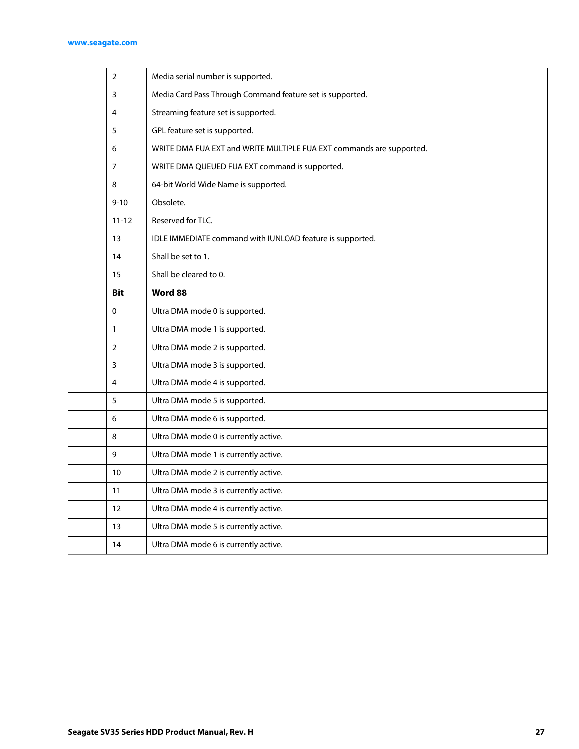#### **[www.seagate.com](http://www.seagate.com)**

| $\overline{2}$ | Media serial number is supported.                                    |
|----------------|----------------------------------------------------------------------|
| 3              | Media Card Pass Through Command feature set is supported.            |
| 4              | Streaming feature set is supported.                                  |
| 5              | GPL feature set is supported.                                        |
| 6              | WRITE DMA FUA EXT and WRITE MULTIPLE FUA EXT commands are supported. |
| $\overline{7}$ | WRITE DMA QUEUED FUA EXT command is supported.                       |
| 8              | 64-bit World Wide Name is supported.                                 |
| $9 - 10$       | Obsolete.                                                            |
| $11 - 12$      | Reserved for TLC.                                                    |
| 13             | IDLE IMMEDIATE command with IUNLOAD feature is supported.            |
| 14             | Shall be set to 1.                                                   |
| 15             | Shall be cleared to 0.                                               |
| <b>Bit</b>     | Word 88                                                              |
| 0              | Ultra DMA mode 0 is supported.                                       |
| $\mathbf{1}$   | Ultra DMA mode 1 is supported.                                       |
| 2              | Ultra DMA mode 2 is supported.                                       |
| 3              | Ultra DMA mode 3 is supported.                                       |
| 4              | Ultra DMA mode 4 is supported.                                       |
| 5              | Ultra DMA mode 5 is supported.                                       |
| 6              | Ultra DMA mode 6 is supported.                                       |
| 8              | Ultra DMA mode 0 is currently active.                                |
| 9              | Ultra DMA mode 1 is currently active.                                |
| 10             | Ultra DMA mode 2 is currently active.                                |
| 11             | Ultra DMA mode 3 is currently active.                                |
| 12             | Ultra DMA mode 4 is currently active.                                |
| 13             | Ultra DMA mode 5 is currently active.                                |
| 14             | Ultra DMA mode 6 is currently active.                                |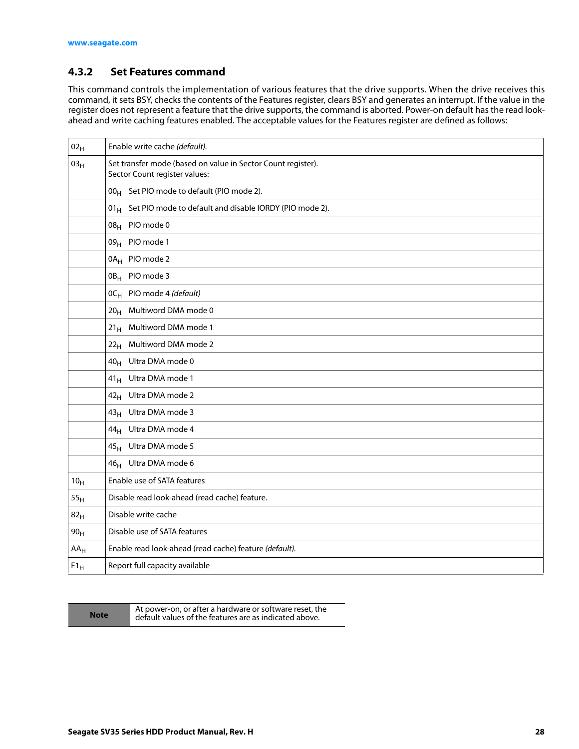# <span id="page-28-0"></span>**4.3.2 Set Features command**

This command controls the implementation of various features that the drive supports. When the drive receives this command, it sets BSY, checks the contents of the Features register, clears BSY and generates an interrupt. If the value in the register does not represent a feature that the drive supports, the command is aborted. Power-on default has the read lookahead and write caching features enabled. The acceptable values for the Features register are defined as follows:

| 02 <sub>H</sub> | Enable write cache (default).                                                                 |  |  |
|-----------------|-----------------------------------------------------------------------------------------------|--|--|
| 03 <sub>H</sub> | Set transfer mode (based on value in Sector Count register).<br>Sector Count register values: |  |  |
|                 | 00 <sub>H</sub> Set PIO mode to default (PIO mode 2).                                         |  |  |
|                 | $01_H$ Set PIO mode to default and disable IORDY (PIO mode 2).                                |  |  |
|                 | 08 <sub>H</sub> PIO mode 0                                                                    |  |  |
|                 | 09 <sub>H</sub> PIO mode 1                                                                    |  |  |
|                 | 0A <sub>H</sub> PIO mode 2                                                                    |  |  |
|                 | 0B <sub>H</sub> PIO mode 3                                                                    |  |  |
|                 | OC <sub>H</sub> PIO mode 4 (default)                                                          |  |  |
|                 | 20 <sub>H</sub> Multiword DMA mode 0                                                          |  |  |
|                 | Multiword DMA mode 1<br>21 <sub>H</sub>                                                       |  |  |
|                 | Multiword DMA mode 2<br>22 <sub>H</sub>                                                       |  |  |
|                 | Ultra DMA mode 0<br>40 <sub>H</sub>                                                           |  |  |
|                 | Ultra DMA mode 1<br>$41_H$                                                                    |  |  |
|                 | 42 <sub>H</sub> Ultra DMA mode 2                                                              |  |  |
|                 | 43 <sub>H</sub> Ultra DMA mode 3                                                              |  |  |
|                 | 44 <sub>H</sub> Ultra DMA mode 4                                                              |  |  |
|                 | 45 <sub>H</sub> Ultra DMA mode 5                                                              |  |  |
|                 | Ultra DMA mode 6<br>46 <sub>H</sub>                                                           |  |  |
| 10 <sub>H</sub> | Enable use of SATA features                                                                   |  |  |
| 55 <sub>H</sub> | Disable read look-ahead (read cache) feature.                                                 |  |  |
| 82 <sub>H</sub> | Disable write cache                                                                           |  |  |
| 90 <sub>H</sub> | Disable use of SATA features                                                                  |  |  |
| $AA_H$          | Enable read look-ahead (read cache) feature (default).                                        |  |  |
| $F1_H$          | Report full capacity available                                                                |  |  |

**Note** At power-on, or after a hardware or software reset, the default values of the features are as indicated above.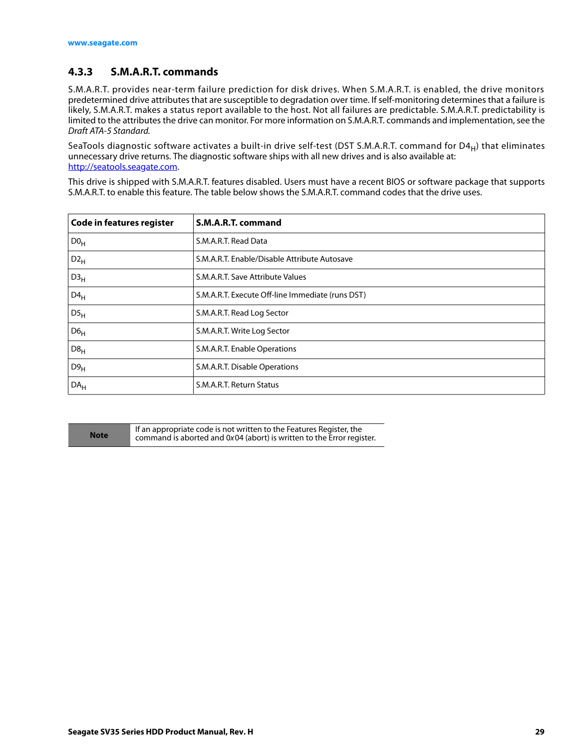# <span id="page-29-0"></span>**4.3.3 S.M.A.R.T. commands**

S.M.A.R.T. provides near-term failure prediction for disk drives. When S.M.A.R.T. is enabled, the drive monitors predetermined drive attributes that are susceptible to degradation over time. If self-monitoring determines that a failure is likely, S.M.A.R.T. makes a status report available to the host. Not all failures are predictable. S.M.A.R.T. predictability is limited to the attributes the drive can monitor. For more information on S.M.A.R.T. commands and implementation, see the Draft ATA-5 Standard.

SeaTools diagnostic software activates a built-in drive self-test (DST S.M.A.R.T. command for D4 $_H$ ) that eliminates unnecessary drive returns. The diagnostic software ships with all new drives and is also available at: http://seatools.seagate.com.

This drive is shipped with S.M.A.R.T. features disabled. Users must have a recent BIOS or software package that supports S.M.A.R.T. to enable this feature. The table below shows the S.M.A.R.T. command codes that the drive uses.

| Code in features register | S.M.A.R.T. command                               |
|---------------------------|--------------------------------------------------|
| D0 <sub>H</sub>           | S.M.A.R.T. Read Data                             |
| $D2_H$                    | S.M.A.R.T. Enable/Disable Attribute Autosave     |
| D3 <sub>H</sub>           | S.M.A.R.T. Save Attribute Values                 |
| $D4_H$                    | S.M.A.R.T. Execute Off-line Immediate (runs DST) |
| DS <sub>H</sub>           | S.M.A.R.T. Read Log Sector                       |
| D6 <sub>H</sub>           | S.M.A.R.T. Write Log Sector                      |
| D8 <sub>H</sub>           | S.M.A.R.T. Enable Operations                     |
| D9 <sub>H</sub>           | S.M.A.R.T. Disable Operations                    |
| DA <sub>H</sub>           | S.M.A.R.T. Return Status                         |

**Note** If an appropriate code is not written to the Features Register, the command is aborted and 0x04 (abort) is written to the Error register.